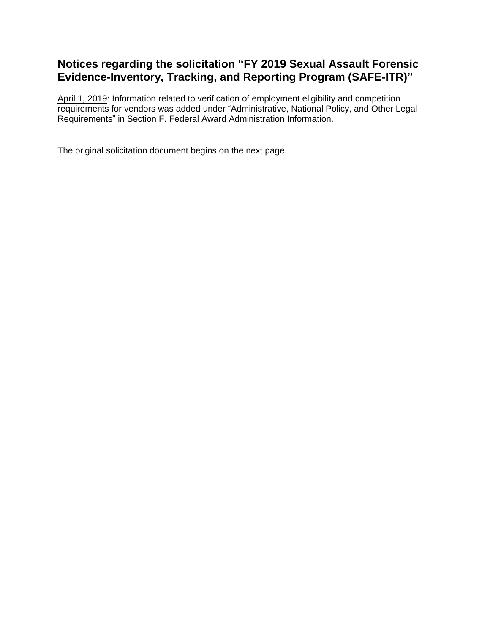# **Notices regarding the solicitation "FY 2019 Sexual Assault Forensic Evidence-Inventory, Tracking, and Reporting Program (SAFE-ITR)"**

April 1, 2019: Information related to verification of employment eligibility and competition requirements for vendors was added under "Administrative, National Policy, and Other Legal Requirements" in Section F. Federal Award Administration Information.

The original solicitation document begins on the next page.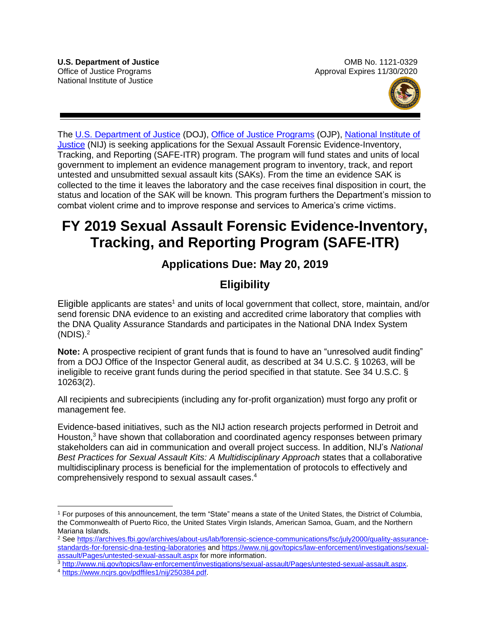

The [U.S. Department of Justice](https://www.usdoj.gov/) (DOJ), [Office of Justice Programs](https://www.ojp.usdoj.gov/) (OJP), [National Institute of](https://nij.gov/Pages/welcome.aspx)  [Justice](https://nij.gov/Pages/welcome.aspx) (NIJ) is seeking applications for the Sexual Assault Forensic Evidence-Inventory, Tracking, and Reporting (SAFE-ITR) program. The program will fund states and units of local government to implement an evidence management program to inventory, track, and report untested and unsubmitted sexual assault kits (SAKs). From the time an evidence SAK is collected to the time it leaves the laboratory and the case receives final disposition in court, the status and location of the SAK will be known*.* This program furthers the Department's mission to combat violent crime and to improve response and services to America's crime victims.

# **FY 2019 Sexual Assault Forensic Evidence-Inventory, Tracking, and Reporting Program (SAFE-ITR)**

# **Applications Due: May 20, 2019**

# **Eligibility**

Eligible applicants are states<sup>1</sup> and units of local government that collect, store, maintain, and/or send forensic DNA evidence to an existing and accredited crime laboratory that complies with the DNA Quality Assurance Standards and participates in the National DNA Index System  $(NDIS).<sup>2</sup>$ 

**Note:** A prospective recipient of grant funds that is found to have an "unresolved audit finding" from a DOJ Office of the Inspector General audit, as described at 34 U.S.C. § 10263, will be ineligible to receive grant funds during the period specified in that statute. See 34 U.S.C. § 10263(2).

All recipients and subrecipients (including any for-profit organization) must forgo any profit or management fee.

Evidence-based initiatives, such as the NIJ action research projects performed in Detroit and Houston,<sup>3</sup> have shown that collaboration and coordinated agency responses between primary stakeholders can aid in communication and overall project success. In addition, NIJ's *National Best Practices for Sexual Assault Kits: A Multidisciplinary Approach* states that a collaborative multidisciplinary process is beneficial for the implementation of protocols to effectively and comprehensively respond to sexual assault cases.<sup>4</sup>

 1 For purposes of this announcement, the term "State" means a state of the United States, the District of Columbia, the Commonwealth of Puerto Rico, the United States Virgin Islands, American Samoa, Guam, and the Northern Mariana Islands.

<sup>&</sup>lt;sup>2</sup> See [https://archives.fbi.gov/archives/about-us/lab/forensic-science-communications/fsc/july2000/quality-assurance](https://archives.fbi.gov/archives/about-us/lab/forensic-science-communications/fsc/july2000/quality-assurance-standards-for-forensic-dna-testing-laboratories)[standards-for-forensic-dna-testing-laboratories](https://archives.fbi.gov/archives/about-us/lab/forensic-science-communications/fsc/july2000/quality-assurance-standards-for-forensic-dna-testing-laboratories) and [https://www.nij.gov/topics/law-enforcement/investigations/sexual](https://www.nij.gov/topics/law-enforcement/investigations/sexual-assault/Pages/untested-sexual-assault.aspx)[assault/Pages/untested-sexual-assault.aspx](https://www.nij.gov/topics/law-enforcement/investigations/sexual-assault/Pages/untested-sexual-assault.aspx) for more information.

<sup>3</sup> [http://www.nij.gov/topics/law-enforcement/investigations/sexual-assault/Pages/untested-sexual-assault.aspx.](http://www.nij.gov/topics/law-enforcement/investigations/sexual-assault/Pages/untested-sexual-assault.aspx)

<sup>4</sup> [https://www.ncjrs.gov/pdffiles1/nij/250384.pdf.](https://www.ncjrs.gov/pdffiles1/nij/250384.pdf)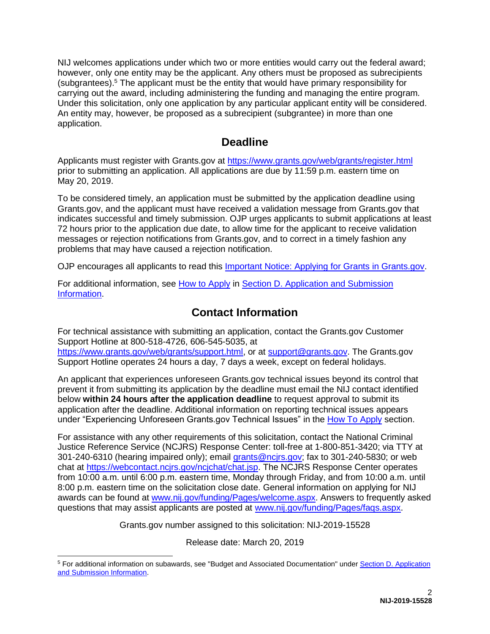NIJ welcomes applications under which two or more entities would carry out the federal award; however, only one entity may be the applicant. Any others must be proposed as subrecipients (subgrantees).<sup>5</sup> The applicant must be the entity that would have primary responsibility for carrying out the award, including administering the funding and managing the entire program*.*  Under this solicitation, only one application by any particular applicant entity will be considered. An entity may, however, be proposed as a subrecipient (subgrantee) in more than one application.

# **Deadline**

Applicants must register with Grants.gov at <https://www.grants.gov/web/grants/register.html> prior to submitting an application. All applications are due by 11:59 p.m. eastern time on May 20, 2019.

To be considered timely, an application must be submitted by the application deadline using Grants.gov, and the applicant must have received a validation message from Grants.gov that indicates successful and timely submission. OJP urges applicants to submit applications at least 72 hours prior to the application due date, to allow time for the applicant to receive validation messages or rejection notifications from Grants.gov, and to correct in a timely fashion any problems that may have caused a rejection notification.

OJP encourages all applicants to read this [Important Notice: Applying for Grants in Grants.gov.](https://ojp.gov/funding/Apply/Grants-govInfo.htm)

For additional information, see [How to Apply](#page-31-0) in [Section D. Application and Submission](#page-18-0)  **Information** 

# **Contact Information**

For technical assistance with submitting an application, contact the Grants.gov Customer Support Hotline at 800-518-4726, 606-545-5035, at [https://www.grants.gov/web/grants/support.html,](https://www.grants.gov/web/grants/support.html) or at [support@grants.gov.](mailto:support@grants.gov) The Grants.gov Support Hotline operates 24 hours a day, 7 days a week, except on federal holidays.

An applicant that experiences unforeseen Grants.gov technical issues beyond its control that prevent it from submitting its application by the deadline must email the NIJ contact identified below **within 24 hours after the application deadline** to request approval to submit its application after the deadline. Additional information on reporting technical issues appears under "Experiencing Unforeseen Grants.gov Technical Issues" in the [How To Apply](#page-31-0) section.

For assistance with any other requirements of this solicitation, contact the National Criminal Justice Reference Service (NCJRS) Response Center: toll-free at 1-800-851-3420; via TTY at 301-240-6310 (hearing impaired only); email [grants@ncjrs.gov;](mailto:grants@ncjrs.gov) fax to 301-240-5830; or web chat at [https://webcontact.ncjrs.gov/ncjchat/chat.jsp.](https://webcontact.ncjrs.gov/ncjchat/chat.jsp) The NCJRS Response Center operates from 10:00 a.m. until 6:00 p.m. eastern time, Monday through Friday, and from 10:00 a.m. until 8:00 p.m. eastern time on the solicitation close date. General information on applying for NIJ awards can be found at [www.nij.gov/funding/Pages/welcome.aspx.](http://www.nij.gov/funding/Pages/welcome.aspx) Answers to frequently asked questions that may assist applicants are posted at [www.nij.gov/funding/Pages/faqs.aspx.](http://www.nij.gov/funding/Pages/faqs.aspx)

Grants.gov number assigned to this solicitation: NIJ-2019-15528

Release date: March 20, 2019

 $\overline{a}$ <sup>5</sup> For additional information on subawards, see "Budget and Associated Documentation" under Section D. Application [and Submission Information.](#page-18-0)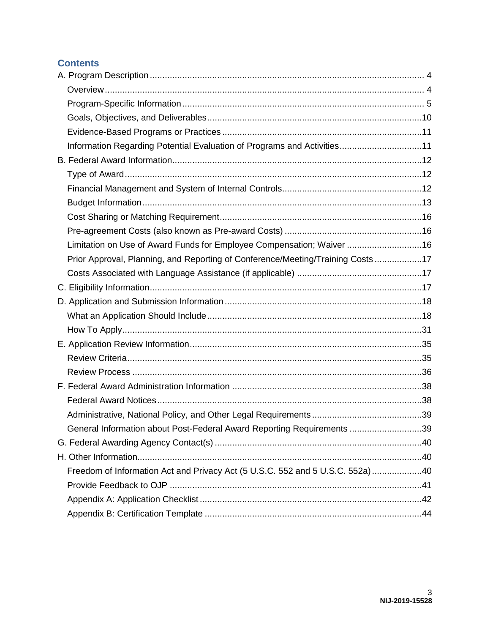# **Contents**

| Information Regarding Potential Evaluation of Programs and Activities11        |  |
|--------------------------------------------------------------------------------|--|
|                                                                                |  |
|                                                                                |  |
|                                                                                |  |
|                                                                                |  |
|                                                                                |  |
|                                                                                |  |
| Limitation on Use of Award Funds for Employee Compensation; Waiver 16          |  |
| Prior Approval, Planning, and Reporting of Conference/Meeting/Training Costs17 |  |
|                                                                                |  |
|                                                                                |  |
|                                                                                |  |
|                                                                                |  |
|                                                                                |  |
|                                                                                |  |
|                                                                                |  |
|                                                                                |  |
|                                                                                |  |
|                                                                                |  |
|                                                                                |  |
| General Information about Post-Federal Award Reporting Requirements 39         |  |
|                                                                                |  |
|                                                                                |  |
| Freedom of Information Act and Privacy Act (5 U.S.C. 552 and 5 U.S.C. 552a) 40 |  |
|                                                                                |  |
|                                                                                |  |
|                                                                                |  |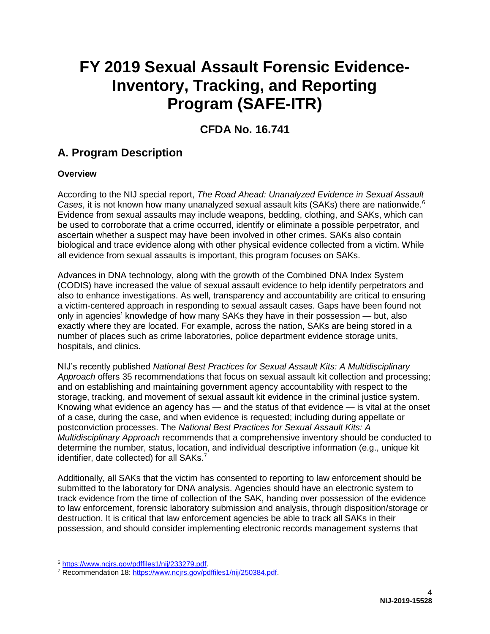# **FY 2019 Sexual Assault Forensic Evidence-Inventory, Tracking, and Reporting Program (SAFE-ITR)**

# **CFDA No. 16.741**

# <span id="page-4-0"></span>**A. Program Description**

# <span id="page-4-1"></span>**Overview**

According to the NIJ special report, *The Road Ahead: Unanalyzed Evidence in Sexual Assault Cases*, it is not known how many unanalyzed sexual assault kits (SAKs) there are nationwide.<sup>6</sup> Evidence from sexual assaults may include weapons, bedding, clothing, and SAKs, which can be used to corroborate that a crime occurred, identify or eliminate a possible perpetrator, and ascertain whether a suspect may have been involved in other crimes. SAKs also contain biological and trace evidence along with other physical evidence collected from a victim. While all evidence from sexual assaults is important, this program focuses on SAKs.

Advances in DNA technology, along with the growth of the Combined DNA Index System (CODIS) have increased the value of sexual assault evidence to help identify perpetrators and also to enhance investigations. As well, transparency and accountability are critical to ensuring a victim-centered approach in responding to sexual assault cases. Gaps have been found not only in agencies' knowledge of how many SAKs they have in their possession — but, also exactly where they are located. For example, across the nation, SAKs are being stored in a number of places such as crime laboratories, police department evidence storage units, hospitals, and clinics.

NIJ's recently published *National Best Practices for Sexual Assault Kits: A Multidisciplinary Approach* offers 35 recommendations that focus on sexual assault kit collection and processing; and on establishing and maintaining government agency accountability with respect to the storage, tracking, and movement of sexual assault kit evidence in the criminal justice system. Knowing what evidence an agency has — and the status of that evidence — is vital at the onset of a case, during the case, and when evidence is requested; including during appellate or postconviction processes. The *National Best Practices for Sexual Assault Kits: A Multidisciplinary Approach* recommends that a comprehensive inventory should be conducted to determine the number, status, location, and individual descriptive information (e.g., unique kit identifier, date collected) for all SAKs.<sup>7</sup>

Additionally, all SAKs that the victim has consented to reporting to law enforcement should be submitted to the laboratory for DNA analysis. Agencies should have an electronic system to track evidence from the time of collection of the SAK, handing over possession of the evidence to law enforcement, forensic laboratory submission and analysis, through disposition/storage or destruction. It is critical that law enforcement agencies be able to track all SAKs in their possession, and should consider implementing electronic records management systems that

 $\overline{a}$ 

<sup>6</sup> [https://www.ncjrs.gov/pdffiles1/nij/233279.pdf.](https://www.ncjrs.gov/pdffiles1/nij/233279.pdf)

<sup>&</sup>lt;sup>7</sup> Recommendation 18: [https://www.ncjrs.gov/pdffiles1/nij/250384.pdf.](https://www.ncjrs.gov/pdffiles1/nij/250384.pdf)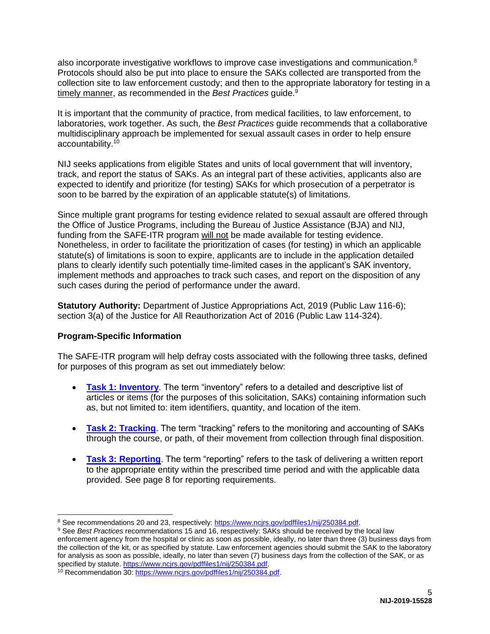also incorporate investigative workflows to improve case investigations and communication.<sup>8</sup> Protocols should also be put into place to ensure the SAKs collected are transported from the collection site to law enforcement custody; and then to the appropriate laboratory for testing in a timely manner, as recommended in the *Best Practices* guide.<sup>9</sup>

It is important that the community of practice, from medical facilities, to law enforcement, to laboratories, work together. As such, the *Best Practices* guide recommends that a collaborative multidisciplinary approach be implemented for sexual assault cases in order to help ensure accountability.<sup>10</sup>

NIJ seeks applications from eligible States and units of local government that will inventory, track, and report the status of SAKs. As an integral part of these activities, applicants also are expected to identify and prioritize (for testing) SAKs for which prosecution of a perpetrator is soon to be barred by the expiration of an applicable statute(s) of limitations.

Since multiple grant programs for testing evidence related to sexual assault are offered through the Office of Justice Programs, including the Bureau of Justice Assistance (BJA) and NIJ, funding from the SAFE-ITR program will not be made available for testing evidence. Nonetheless, in order to facilitate the prioritization of cases (for testing) in which an applicable statute(s) of limitations is soon to expire, applicants are to include in the application detailed plans to clearly identify such potentially time-limited cases in the applicant's SAK inventory, implement methods and approaches to track such cases, and report on the disposition of any such cases during the period of performance under the award.

**Statutory Authority:** Department of Justice Appropriations Act, 2019 (Public Law 116-6); section 3(a) of the Justice for All Reauthorization Act of 2016 (Public Law 114-324).

### <span id="page-5-0"></span>**Program-Specific Information**

 $\overline{a}$ 

The SAFE-ITR program will help defray costs associated with the following three tasks, defined for purposes of this program as set out immediately below:

- **[Task 1: Inventory](#page-6-0)**. The term "inventory" refers to a detailed and descriptive list of articles or items (for the purposes of this solicitation, SAKs) containing information such as, but not limited to: item identifiers, quantity, and location of the item.
- **[Task 2: Tracking](#page-7-0).** The term "tracking" refers to the monitoring and accounting of SAKs through the course, or path, of their movement from collection through final disposition.
- **[Task 3: Reporting](#page-8-0)**. The term "reporting" refers to the task of delivering a written report to the appropriate entity within the prescribed time period and with the applicable data provided. See page 8 for reporting requirements.

<sup>&</sup>lt;sup>8</sup> See recommendations 20 and 23, respectively: [https://www.ncjrs.gov/pdffiles1/nij/250384.pdf.](https://www.ncjrs.gov/pdffiles1/nij/250384.pdf)

<sup>9</sup> See *Best Practices* recommendations 15 and 16, respectively: SAKs should be received by the local law enforcement agency from the hospital or clinic as soon as possible, ideally, no later than three (3) business days from the collection of the kit, or as specified by statute. Law enforcement agencies should submit the SAK to the laboratory for analysis as soon as possible, ideally, no later than seven (7) business days from the collection of the SAK, or as specified by statute. [https://www.ncjrs.gov/pdffiles1/nij/250384.pdf.](https://www.ncjrs.gov/pdffiles1/nij/250384.pdf)

<sup>&</sup>lt;sup>10</sup> Recommendation 30: [https://www.ncjrs.gov/pdffiles1/nij/250384.pdf.](https://www.ncjrs.gov/pdffiles1/nij/250384.pdf)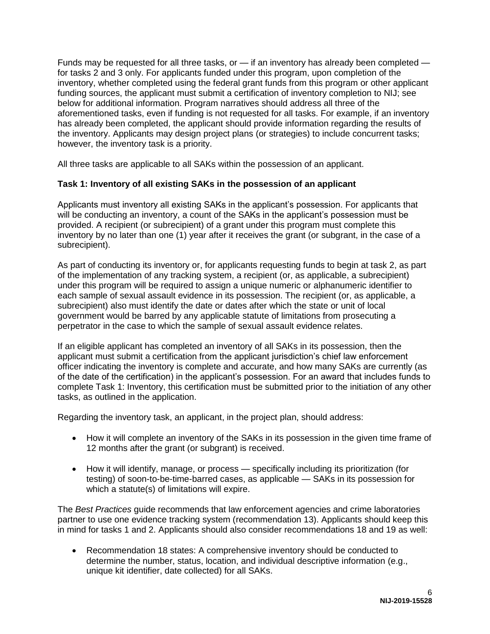Funds may be requested for all three tasks, or — if an inventory has already been completed for tasks 2 and 3 only. For applicants funded under this program, upon completion of the inventory, whether completed using the federal grant funds from this program or other applicant funding sources, the applicant must submit a certification of inventory completion to NIJ; see below for additional information. Program narratives should address all three of the aforementioned tasks, even if funding is not requested for all tasks. For example, if an inventory has already been completed, the applicant should provide information regarding the results of the inventory. Applicants may design project plans (or strategies) to include concurrent tasks; however, the inventory task is a priority.

All three tasks are applicable to all SAKs within the possession of an applicant.

### <span id="page-6-0"></span>**Task 1: Inventory of all existing SAKs in the possession of an applicant**

Applicants must inventory all existing SAKs in the applicant's possession. For applicants that will be conducting an inventory, a count of the SAKs in the applicant's possession must be provided. A recipient (or subrecipient) of a grant under this program must complete this inventory by no later than one (1) year after it receives the grant (or subgrant, in the case of a subrecipient).

As part of conducting its inventory or, for applicants requesting funds to begin at task 2, as part of the implementation of any tracking system, a recipient (or, as applicable, a subrecipient) under this program will be required to assign a unique numeric or alphanumeric identifier to each sample of sexual assault evidence in its possession. The recipient (or, as applicable, a subrecipient) also must identify the date or dates after which the state or unit of local government would be barred by any applicable statute of limitations from prosecuting a perpetrator in the case to which the sample of sexual assault evidence relates.

If an eligible applicant has completed an inventory of all SAKs in its possession, then the applicant must submit a certification from the applicant jurisdiction's chief law enforcement officer indicating the inventory is complete and accurate, and how many SAKs are currently (as of the date of the certification) in the applicant's possession. For an award that includes funds to complete Task 1: Inventory, this certification must be submitted prior to the initiation of any other tasks, as outlined in the application.

Regarding the inventory task, an applicant, in the project plan, should address:

- How it will complete an inventory of the SAKs in its possession in the given time frame of 12 months after the grant (or subgrant) is received.
- How it will identify, manage, or process specifically including its prioritization (for testing) of soon-to-be-time-barred cases, as applicable — SAKs in its possession for which a statute(s) of limitations will expire.

The *Best Practices* guide recommends that law enforcement agencies and crime laboratories partner to use one evidence tracking system (recommendation 13). Applicants should keep this in mind for tasks 1 and 2. Applicants should also consider recommendations 18 and 19 as well:

 Recommendation 18 states: A comprehensive inventory should be conducted to determine the number, status, location, and individual descriptive information (e.g., unique kit identifier, date collected) for all SAKs.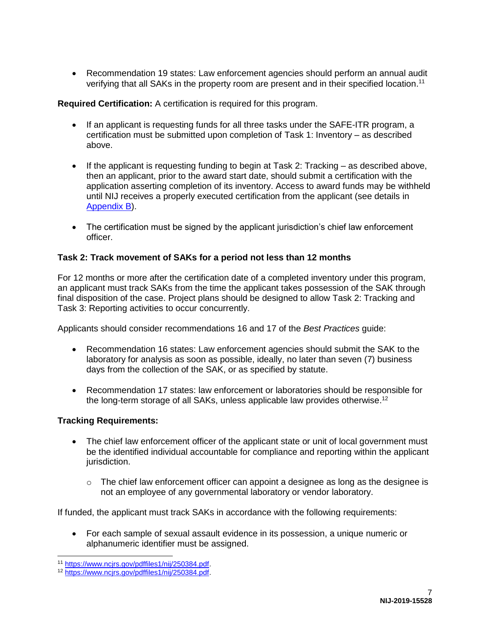Recommendation 19 states: Law enforcement agencies should perform an annual audit verifying that all SAKs in the property room are present and in their specified location.<sup>11</sup>

**Required Certification:** A certification is required for this program.

- If an applicant is requesting funds for all three tasks under the SAFE-ITR program, a certification must be submitted upon completion of Task 1: Inventory – as described above.
- $\bullet$  If the applicant is requesting funding to begin at Task 2: Tracking as described above, then an applicant, prior to the award start date, should submit a certification with the application asserting completion of its inventory. Access to award funds may be withheld until NIJ receives a properly executed certification from the applicant (see details in [Appendix B\)](#page-44-0).
- The certification must be signed by the applicant jurisdiction's chief law enforcement officer.

# <span id="page-7-0"></span>**Task 2: Track movement of SAKs for a period not less than 12 months**

For 12 months or more after the certification date of a completed inventory under this program, an applicant must track SAKs from the time the applicant takes possession of the SAK through final disposition of the case. Project plans should be designed to allow Task 2: Tracking and Task 3: Reporting activities to occur concurrently.

Applicants should consider recommendations 16 and 17 of the *Best Practices* guide:

- Recommendation 16 states: Law enforcement agencies should submit the SAK to the laboratory for analysis as soon as possible, ideally, no later than seven (7) business days from the collection of the SAK, or as specified by statute.
- Recommendation 17 states: law enforcement or laboratories should be responsible for the long-term storage of all SAKs, unless applicable law provides otherwise.<sup>12</sup>

# **Tracking Requirements:**

- The chief law enforcement officer of the applicant state or unit of local government must be the identified individual accountable for compliance and reporting within the applicant jurisdiction.
	- $\circ$  The chief law enforcement officer can appoint a designee as long as the designee is not an employee of any governmental laboratory or vendor laboratory.

If funded, the applicant must track SAKs in accordance with the following requirements:

 For each sample of sexual assault evidence in its possession, a unique numeric or alphanumeric identifier must be assigned.

 $\overline{a}$ <sup>11</sup> [https://www.ncjrs.gov/pdffiles1/nij/250384.pdf.](https://www.ncjrs.gov/pdffiles1/nij/250384.pdf) 

<sup>12</sup> [https://www.ncjrs.gov/pdffiles1/nij/250384.pdf.](https://www.ncjrs.gov/pdffiles1/nij/250384.pdf)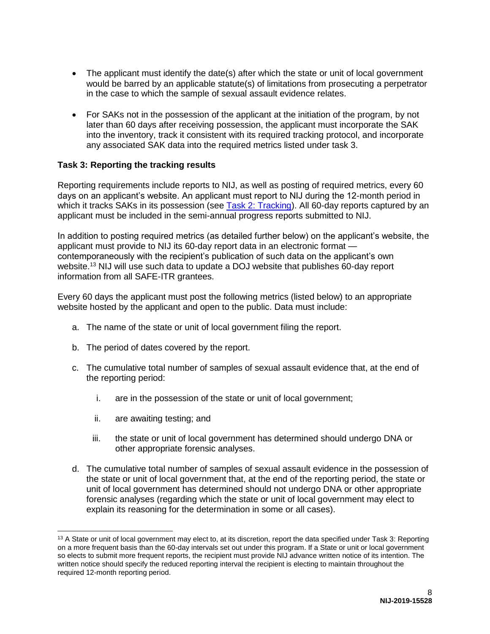- The applicant must identify the date(s) after which the state or unit of local government would be barred by an applicable statute(s) of limitations from prosecuting a perpetrator in the case to which the sample of sexual assault evidence relates.
- For SAKs not in the possession of the applicant at the initiation of the program, by not later than 60 days after receiving possession, the applicant must incorporate the SAK into the inventory, track it consistent with its required tracking protocol, and incorporate any associated SAK data into the required metrics listed under task 3.

### <span id="page-8-0"></span>**Task 3: Reporting the tracking results**

Reporting requirements include reports to NIJ, as well as posting of required metrics, every 60 days on an applicant's website. An applicant must report to NIJ during the 12-month period in which it tracks SAKs in its possession (see [Task 2: Tracking\)](#page-7-0). All 60-day reports captured by an applicant must be included in the semi-annual progress reports submitted to NIJ.

In addition to posting required metrics (as detailed further below) on the applicant's website, the applicant must provide to NIJ its 60-day report data in an electronic format contemporaneously with the recipient's publication of such data on the applicant's own website.<sup>13</sup> NIJ will use such data to update a DOJ website that publishes 60-day report information from all SAFE-ITR grantees.

Every 60 days the applicant must post the following metrics (listed below) to an appropriate website hosted by the applicant and open to the public. Data must include:

- a. The name of the state or unit of local government filing the report.
- b. The period of dates covered by the report.
- c. The cumulative total number of samples of sexual assault evidence that, at the end of the reporting period:
	- i. are in the possession of the state or unit of local government;
	- ii. are awaiting testing; and

 $\overline{a}$ 

- iii. the state or unit of local government has determined should undergo DNA or other appropriate forensic analyses.
- d. The cumulative total number of samples of sexual assault evidence in the possession of the state or unit of local government that, at the end of the reporting period, the state or unit of local government has determined should not undergo DNA or other appropriate forensic analyses (regarding which the state or unit of local government may elect to explain its reasoning for the determination in some or all cases).

<sup>&</sup>lt;sup>13</sup> A State or unit of local government may elect to, at its discretion, report the data specified under Task 3: Reporting on a more frequent basis than the 60-day intervals set out under this program. If a State or unit or local government so elects to submit more frequent reports, the recipient must provide NIJ advance written notice of its intention. The written notice should specify the reduced reporting interval the recipient is electing to maintain throughout the required 12-month reporting period.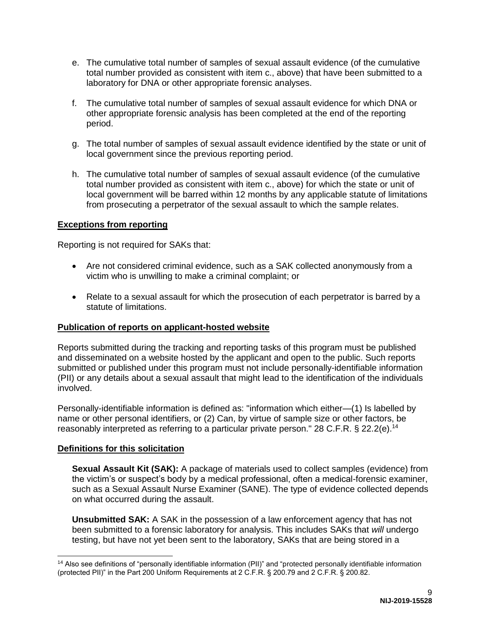- e. The cumulative total number of samples of sexual assault evidence (of the cumulative total number provided as consistent with item c., above) that have been submitted to a laboratory for DNA or other appropriate forensic analyses.
- f. The cumulative total number of samples of sexual assault evidence for which DNA or other appropriate forensic analysis has been completed at the end of the reporting period.
- g. The total number of samples of sexual assault evidence identified by the state or unit of local government since the previous reporting period.
- h. The cumulative total number of samples of sexual assault evidence (of the cumulative total number provided as consistent with item c., above) for which the state or unit of local government will be barred within 12 months by any applicable statute of limitations from prosecuting a perpetrator of the sexual assault to which the sample relates.

### **Exceptions from reporting**

Reporting is not required for SAKs that:

- Are not considered criminal evidence, such as a SAK collected anonymously from a victim who is unwilling to make a criminal complaint; or
- Relate to a sexual assault for which the prosecution of each perpetrator is barred by a statute of limitations.

### **Publication of reports on applicant-hosted website**

Reports submitted during the tracking and reporting tasks of this program must be published and disseminated on a website hosted by the applicant and open to the public. Such reports submitted or published under this program must not include personally-identifiable information (PII) or any details about a sexual assault that might lead to the identification of the individuals involved.

Personally-identifiable information is defined as: "information which either—(1) Is labelled by name or other personal identifiers, or (2) Can, by virtue of sample size or other factors, be reasonably interpreted as referring to a particular private person." 28 C.F.R. § 22.2(e).<sup>14</sup>

### **Definitions for this solicitation**

**Sexual Assault Kit (SAK):** A package of materials used to collect samples (evidence) from the victim's or suspect's body by a medical professional, often a medical-forensic examiner, such as a Sexual Assault Nurse Examiner (SANE). The type of evidence collected depends on what occurred during the assault.

**Unsubmitted SAK:** A SAK in the possession of a law enforcement agency that has not been submitted to a forensic laboratory for analysis. This includes SAKs that *will* undergo testing, but have not yet been sent to the laboratory, SAKs that are being stored in a

 $\overline{a}$ <sup>14</sup> Also see definitions of "personally identifiable information (PII)" and "protected personally identifiable information (protected PII)" in the Part 200 Uniform Requirements at 2 C.F.R. § 200.79 and 2 C.F.R. § 200.82.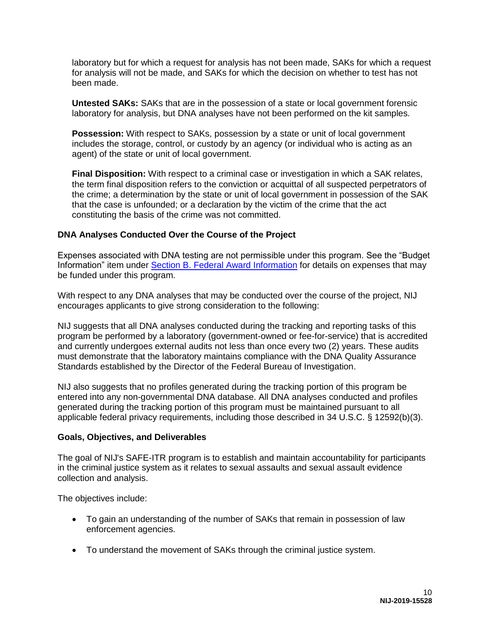laboratory but for which a request for analysis has not been made, SAKs for which a request for analysis will not be made, and SAKs for which the decision on whether to test has not been made.

**Untested SAKs:** SAKs that are in the possession of a state or local government forensic laboratory for analysis, but DNA analyses have not been performed on the kit samples.

**Possession:** With respect to SAKs, possession by a state or unit of local government includes the storage, control, or custody by an agency (or individual who is acting as an agent) of the state or unit of local government.

**Final Disposition:** With respect to a criminal case or investigation in which a SAK relates, the term final disposition refers to the conviction or acquittal of all suspected perpetrators of the crime; a determination by the state or unit of local government in possession of the SAK that the case is unfounded; or a declaration by the victim of the crime that the act constituting the basis of the crime was not committed.

# **DNA Analyses Conducted Over the Course of the Project**

Expenses associated with DNA testing are not permissible under this program. See the "Budget Information" item under [Section B. Federal Award Information](#page-12-0) for details on expenses that may be funded under this program.

With respect to any DNA analyses that may be conducted over the course of the project, NIJ encourages applicants to give strong consideration to the following:

NIJ suggests that all DNA analyses conducted during the tracking and reporting tasks of this program be performed by a laboratory (government-owned or fee-for-service) that is accredited and currently undergoes external audits not less than once every two (2) years. These audits must demonstrate that the laboratory maintains compliance with the DNA Quality Assurance Standards established by the Director of the Federal Bureau of Investigation.

NIJ also suggests that no profiles generated during the tracking portion of this program be entered into any non-governmental DNA database. All DNA analyses conducted and profiles generated during the tracking portion of this program must be maintained pursuant to all applicable federal privacy requirements, including those described in 34 U.S.C. § 12592(b)(3).

### <span id="page-10-0"></span>**Goals, Objectives, and Deliverables**

The goal of NIJ's SAFE-ITR program is to establish and maintain accountability for participants in the criminal justice system as it relates to sexual assaults and sexual assault evidence collection and analysis.

The objectives include:

- To gain an understanding of the number of SAKs that remain in possession of law enforcement agencies.
- To understand the movement of SAKs through the criminal justice system.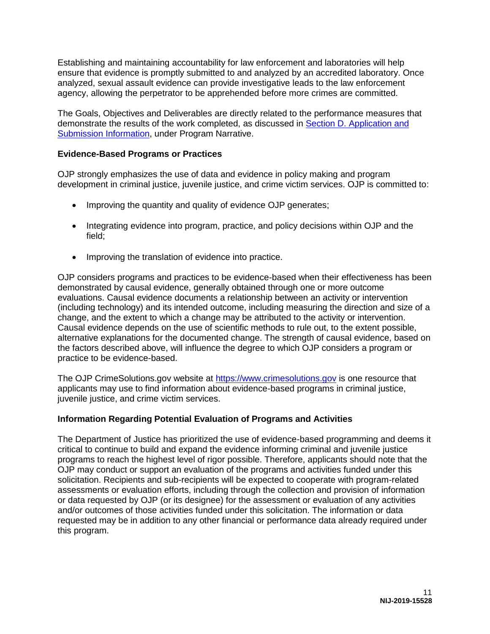Establishing and maintaining accountability for law enforcement and laboratories will help ensure that evidence is promptly submitted to and analyzed by an accredited laboratory. Once analyzed, sexual assault evidence can provide investigative leads to the law enforcement agency, allowing the perpetrator to be apprehended before more crimes are committed.

The Goals, Objectives and Deliverables are directly related to the performance measures that demonstrate the results of the work completed, as discussed in [Section D. Application and](#page-18-0)  [Submission Information,](#page-18-0) under Program Narrative.

# <span id="page-11-0"></span>**Evidence-Based Programs or Practices**

OJP strongly emphasizes the use of data and evidence in policy making and program development in criminal justice, juvenile justice, and crime victim services. OJP is committed to:

- Improving the quantity and quality of evidence OJP generates;
- Integrating evidence into program, practice, and policy decisions within OJP and the field;
- Improving the translation of evidence into practice.

OJP considers programs and practices to be evidence-based when their effectiveness has been demonstrated by causal evidence, generally obtained through one or more outcome evaluations. Causal evidence documents a relationship between an activity or intervention (including technology) and its intended outcome, including measuring the direction and size of a change, and the extent to which a change may be attributed to the activity or intervention. Causal evidence depends on the use of scientific methods to rule out, to the extent possible, alternative explanations for the documented change. The strength of causal evidence, based on the factors described above, will influence the degree to which OJP considers a program or practice to be evidence-based.

The OJP CrimeSolutions.gov website at [https://www.crimesolutions.gov](https://www.crimesolutions.gov/) is one resource that applicants may use to find information about evidence-based programs in criminal justice, juvenile justice, and crime victim services.

### <span id="page-11-1"></span>**Information Regarding Potential Evaluation of Programs and Activities**

The Department of Justice has prioritized the use of evidence-based programming and deems it critical to continue to build and expand the evidence informing criminal and juvenile justice programs to reach the highest level of rigor possible. Therefore, applicants should note that the OJP may conduct or support an evaluation of the programs and activities funded under this solicitation. Recipients and sub-recipients will be expected to cooperate with program-related assessments or evaluation efforts, including through the collection and provision of information or data requested by OJP (or its designee) for the assessment or evaluation of any activities and/or outcomes of those activities funded under this solicitation. The information or data requested may be in addition to any other financial or performance data already required under this program.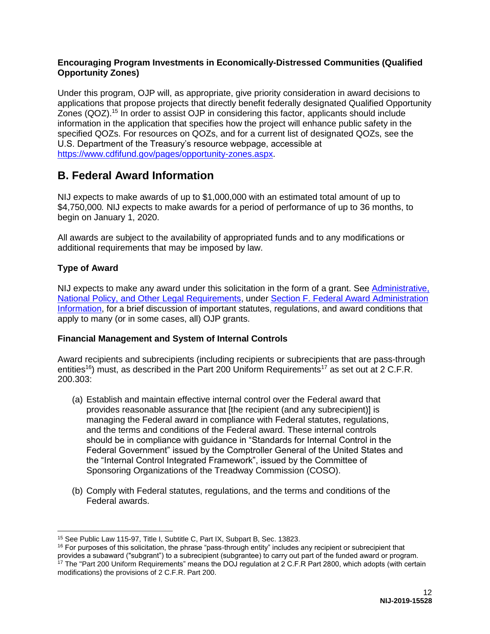# **Encouraging Program Investments in Economically-Distressed Communities (Qualified Opportunity Zones)**

Under this program, OJP will, as appropriate, give priority consideration in award decisions to applications that propose projects that directly benefit federally designated Qualified Opportunity Zones (QOZ).<sup>15</sup> In order to assist OJP in considering this factor, applicants should include information in the application that specifies how the project will enhance public safety in the specified QOZs. For resources on QOZs, and for a current list of designated QOZs, see the U.S. Department of the Treasury's resource webpage, accessible at [https://www.cdfifund.gov/pages/opportunity-zones.aspx.](https://www.cdfifund.gov/pages/opportunity-zones.aspx)

# <span id="page-12-0"></span>**B. Federal Award Information**

NIJ expects to make awards of up to \$1,000,000 with an estimated total amount of up to \$4,750,000*.* NIJ expects to make awards for a period of performance of up to 36 months, to begin on January 1, 2020.

All awards are subject to the availability of appropriated funds and to any modifications or additional requirements that may be imposed by law.

# <span id="page-12-1"></span>**Type of Award**

NIJ expects to make any award under this solicitation in the form of a grant. See [Administrative,](#page-39-0)  [National Policy, and Other Legal Requirements,](#page-39-0) under [Section F. Federal Award Administration](#page-38-0)  [Information,](#page-38-0) for a brief discussion of important statutes, regulations, and award conditions that apply to many (or in some cases, all) OJP grants.

# <span id="page-12-2"></span>**Financial Management and System of Internal Controls**

Award recipients and subrecipients (including recipients or subrecipients that are pass-through entities<sup>16</sup>) must, as described in the Part 200 Uniform Requirements<sup>17</sup> as set out at 2 C.F.R. 200.303:

- (a) Establish and maintain effective internal control over the Federal award that provides reasonable assurance that [the recipient (and any subrecipient)] is managing the Federal award in compliance with Federal statutes, regulations, and the terms and conditions of the Federal award. These internal controls should be in compliance with guidance in "Standards for Internal Control in the Federal Government" issued by the Comptroller General of the United States and the "Internal Control Integrated Framework", issued by the Committee of Sponsoring Organizations of the Treadway Commission (COSO).
- (b) Comply with Federal statutes, regulations, and the terms and conditions of the Federal awards.

 $\overline{a}$ <sup>15</sup> See Public Law 115-97, Title I, Subtitle C, Part IX, Subpart B, Sec. 13823.

<sup>&</sup>lt;sup>16</sup> For purposes of this solicitation, the phrase "pass-through entity" includes any recipient or subrecipient that provides a subaward ("subgrant") to a subrecipient (subgrantee) to carry out part of the funded award or program. <sup>17</sup> The "Part 200 Uniform Requirements" means the DOJ regulation at 2 C.F.R Part 2800, which adopts (with certain modifications) the provisions of 2 C.F.R. Part 200.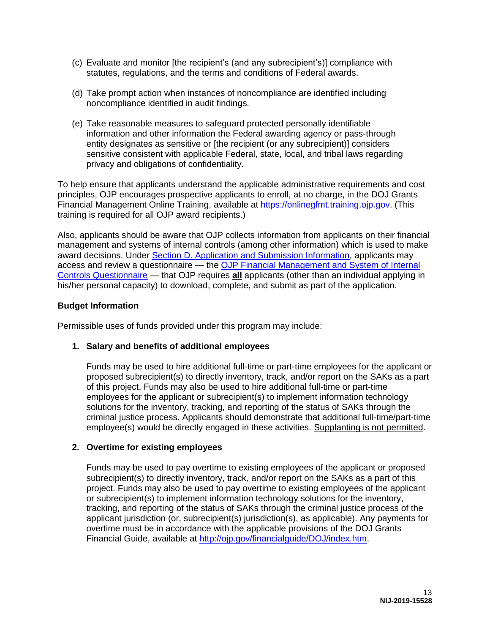- (c) Evaluate and monitor [the recipient's (and any subrecipient's)] compliance with statutes, regulations, and the terms and conditions of Federal awards.
- (d) Take prompt action when instances of noncompliance are identified including noncompliance identified in audit findings.
- (e) Take reasonable measures to safeguard protected personally identifiable information and other information the Federal awarding agency or pass-through entity designates as sensitive or [the recipient (or any subrecipient)] considers sensitive consistent with applicable Federal, state, local, and tribal laws regarding privacy and obligations of confidentiality.

To help ensure that applicants understand the applicable administrative requirements and cost principles, OJP encourages prospective applicants to enroll, at no charge, in the DOJ Grants Financial Management Online Training, available at [https://onlinegfmt.training.ojp.gov.](https://onlinegfmt.training.ojp.gov/) (This training is required for all OJP award recipients.)

Also, applicants should be aware that OJP collects information from applicants on their financial management and systems of internal controls (among other information) which is used to make award decisions. Under [Section D. Application and Submission Information,](#page-18-0) applicants may access and review a questionnaire — the [OJP Financial Management and System of Internal](https://ojp.gov/funding/Apply/Resources/FinancialCapability.pdf)  [Controls Questionnaire](https://ojp.gov/funding/Apply/Resources/FinancialCapability.pdf) — that OJP requires **all** applicants (other than an individual applying in his/her personal capacity) to download, complete, and submit as part of the application.

# <span id="page-13-0"></span>**Budget Information**

<span id="page-13-1"></span>Permissible uses of funds provided under this program may include:

# **1. Salary and benefits of additional employees**

Funds may be used to hire additional full-time or part-time employees for the applicant or proposed subrecipient(s) to directly inventory, track, and/or report on the SAKs as a part of this project. Funds may also be used to hire additional full-time or part-time employees for the applicant or subrecipient(s) to implement information technology solutions for the inventory, tracking, and reporting of the status of SAKs through the criminal justice process. Applicants should demonstrate that additional full-time/part-time employee(s) would be directly engaged in these activities. Supplanting is not permitted.

# **2. Overtime for existing employees**

Funds may be used to pay overtime to existing employees of the applicant or proposed subrecipient(s) to directly inventory, track, and/or report on the SAKs as a part of this project. Funds may also be used to pay overtime to existing employees of the applicant or subrecipient(s) to implement information technology solutions for the inventory, tracking, and reporting of the status of SAKs through the criminal justice process of the applicant jurisdiction (or, subrecipient(s) jurisdiction(s), as applicable). Any payments for overtime must be in accordance with the applicable provisions of the DOJ Grants Financial Guide, available at [http://ojp.gov/financialguide/DOJ/index.htm.](http://ojp.gov/financialguide/DOJ/index.htm)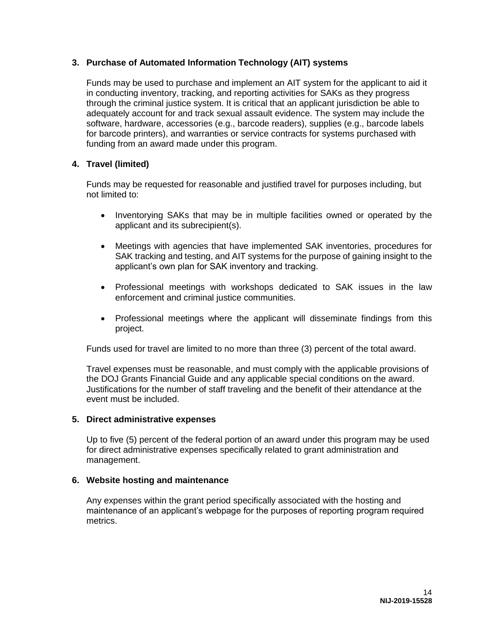# **3. Purchase of Automated Information Technology (AIT) systems**

Funds may be used to purchase and implement an AIT system for the applicant to aid it in conducting inventory, tracking, and reporting activities for SAKs as they progress through the criminal justice system. It is critical that an applicant jurisdiction be able to adequately account for and track sexual assault evidence. The system may include the software, hardware, accessories (e.g., barcode readers), supplies (e.g., barcode labels for barcode printers), and warranties or service contracts for systems purchased with funding from an award made under this program.

# **4. Travel (limited)**

Funds may be requested for reasonable and justified travel for purposes including, but not limited to:

- Inventorying SAKs that may be in multiple facilities owned or operated by the applicant and its subrecipient(s).
- Meetings with agencies that have implemented SAK inventories, procedures for SAK tracking and testing, and AIT systems for the purpose of gaining insight to the applicant's own plan for SAK inventory and tracking.
- Professional meetings with workshops dedicated to SAK issues in the law enforcement and criminal justice communities.
- Professional meetings where the applicant will disseminate findings from this project.

Funds used for travel are limited to no more than three (3) percent of the total award.

Travel expenses must be reasonable, and must comply with the applicable provisions of the DOJ Grants Financial Guide and any applicable special conditions on the award. Justifications for the number of staff traveling and the benefit of their attendance at the event must be included.

### **5. Direct administrative expenses**

Up to five (5) percent of the federal portion of an award under this program may be used for direct administrative expenses specifically related to grant administration and management.

### **6. Website hosting and maintenance**

Any expenses within the grant period specifically associated with the hosting and maintenance of an applicant's webpage for the purposes of reporting program required metrics.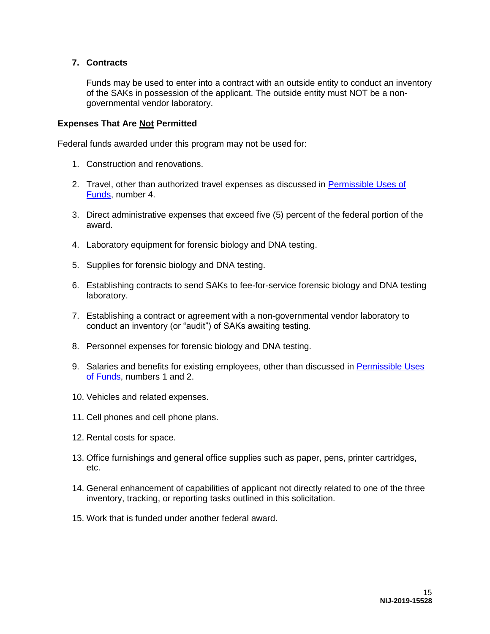# **7. Contracts**

Funds may be used to enter into a contract with an outside entity to conduct an inventory of the SAKs in possession of the applicant. The outside entity must NOT be a nongovernmental vendor laboratory.

#### **Expenses That Are Not Permitted**

Federal funds awarded under this program may not be used for:

- 1. Construction and renovations.
- 2. Travel, other than authorized travel expenses as discussed in [Permissible Uses of](#page-13-1)  [Funds,](#page-13-1) number 4.
- 3. Direct administrative expenses that exceed five (5) percent of the federal portion of the award.
- 4. Laboratory equipment for forensic biology and DNA testing.
- 5. Supplies for forensic biology and DNA testing.
- 6. Establishing contracts to send SAKs to fee-for-service forensic biology and DNA testing laboratory.
- 7. Establishing a contract or agreement with a non-governmental vendor laboratory to conduct an inventory (or "audit") of SAKs awaiting testing.
- 8. Personnel expenses for forensic biology and DNA testing.
- 9. Salaries and benefits for existing employees, other than discussed in [Permissible Uses](#page-13-1)  [of Funds,](#page-13-1) numbers 1 and 2.
- 10. Vehicles and related expenses.
- 11. Cell phones and cell phone plans.
- 12. Rental costs for space.
- 13. Office furnishings and general office supplies such as paper, pens, printer cartridges, etc.
- 14. General enhancement of capabilities of applicant not directly related to one of the three inventory, tracking, or reporting tasks outlined in this solicitation.
- 15. Work that is funded under another federal award.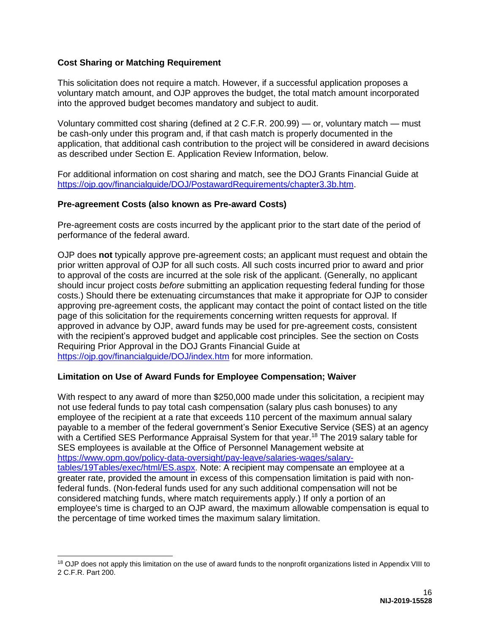# <span id="page-16-0"></span>**Cost Sharing or Matching Requirement**

 $\overline{a}$ 

This solicitation does not require a match. However, if a successful application proposes a voluntary match amount, and OJP approves the budget, the total match amount incorporated into the approved budget becomes mandatory and subject to audit.

Voluntary committed cost sharing (defined at 2 C.F.R. 200.99) — or, voluntary match — must be cash-only under this program and, if that cash match is properly documented in the application, that additional cash contribution to the project will be considered in award decisions as described under Section E. Application Review Information, below.

For additional information on cost sharing and match, see the DOJ Grants Financial Guide at [https://ojp.gov/financialguide/DOJ/PostawardRequirements/chapter3.3b.htm.](https://ojp.gov/financialguide/DOJ/PostawardRequirements/chapter3.3b.htm)

#### <span id="page-16-1"></span>**Pre-agreement Costs (also known as Pre-award Costs)**

Pre-agreement costs are costs incurred by the applicant prior to the start date of the period of performance of the federal award.

OJP does **not** typically approve pre-agreement costs; an applicant must request and obtain the prior written approval of OJP for all such costs. All such costs incurred prior to award and prior to approval of the costs are incurred at the sole risk of the applicant. (Generally, no applicant should incur project costs *before* submitting an application requesting federal funding for those costs.) Should there be extenuating circumstances that make it appropriate for OJP to consider approving pre-agreement costs, the applicant may contact the point of contact listed on the title page of this solicitation for the requirements concerning written requests for approval. If approved in advance by OJP, award funds may be used for pre-agreement costs, consistent with the recipient's approved budget and applicable cost principles. See the section on Costs Requiring Prior Approval in the DOJ Grants Financial Guide at <https://ojp.gov/financialguide/DOJ/index.htm>for more information.

### <span id="page-16-2"></span>**Limitation on Use of Award Funds for Employee Compensation; Waiver**

With respect to any award of more than \$250,000 made under this solicitation, a recipient may not use federal funds to pay total cash compensation (salary plus cash bonuses) to any employee of the recipient at a rate that exceeds 110 percent of the maximum annual salary payable to a member of the federal government's Senior Executive Service (SES) at an agency with a Certified SES Performance Appraisal System for that year.<sup>18</sup> The 2019 salary table for SES employees is available at the Office of Personnel Management website at [https://www.opm.gov/policy-data-oversight/pay-leave/salaries-wages/salary](https://www.opm.gov/policy-data-oversight/pay-leave/salaries-wages/salary-tables/19Tables/exec/html/ES.aspx)[tables/19Tables/exec/html/ES.aspx.](https://www.opm.gov/policy-data-oversight/pay-leave/salaries-wages/salary-tables/19Tables/exec/html/ES.aspx) Note: A recipient may compensate an employee at a greater rate, provided the amount in excess of this compensation limitation is paid with nonfederal funds. (Non-federal funds used for any such additional compensation will not be considered matching funds, where match requirements apply.) If only a portion of an employee's time is charged to an OJP award, the maximum allowable compensation is equal to the percentage of time worked times the maximum salary limitation.

<sup>&</sup>lt;sup>18</sup> OJP does not apply this limitation on the use of award funds to the nonprofit organizations listed in Appendix VIII to 2 C.F.R. Part 200.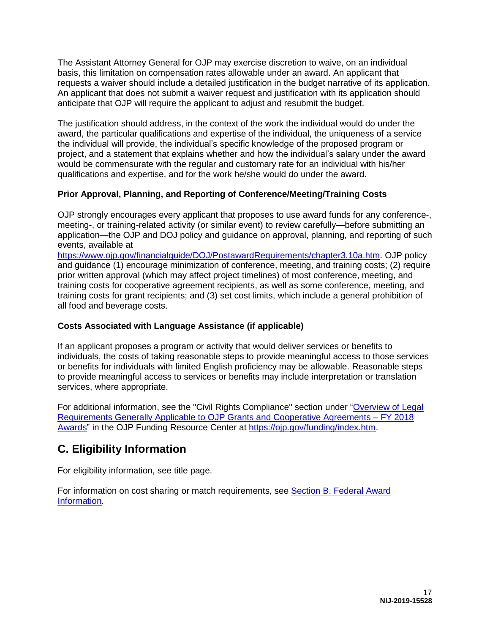The Assistant Attorney General for OJP may exercise discretion to waive, on an individual basis, this limitation on compensation rates allowable under an award. An applicant that requests a waiver should include a detailed justification in the budget narrative of its application. An applicant that does not submit a waiver request and justification with its application should anticipate that OJP will require the applicant to adjust and resubmit the budget.

The justification should address, in the context of the work the individual would do under the award, the particular qualifications and expertise of the individual, the uniqueness of a service the individual will provide, the individual's specific knowledge of the proposed program or project, and a statement that explains whether and how the individual's salary under the award would be commensurate with the regular and customary rate for an individual with his/her qualifications and expertise, and for the work he/she would do under the award.

# <span id="page-17-0"></span>**Prior Approval, Planning, and Reporting of Conference/Meeting/Training Costs**

OJP strongly encourages every applicant that proposes to use award funds for any conference-, meeting-, or training-related activity (or similar event) to review carefully—before submitting an application—the OJP and DOJ policy and guidance on approval, planning, and reporting of such events, available at

[https://www.ojp.gov/financialguide/DOJ/PostawardRequirements/chapter3.10a.htm.](https://www.ojp.gov/financialguide/DOJ/PostawardRequirements/chapter3.10a.htm) OJP policy and guidance (1) encourage minimization of conference, meeting, and training costs; (2) require prior written approval (which may affect project timelines) of most conference, meeting, and training costs for cooperative agreement recipients, as well as some conference, meeting, and training costs for grant recipients; and (3) set cost limits, which include a general prohibition of all food and beverage costs.

# <span id="page-17-1"></span>**Costs Associated with Language Assistance (if applicable)**

If an applicant proposes a program or activity that would deliver services or benefits to individuals, the costs of taking reasonable steps to provide meaningful access to those services or benefits for individuals with limited English proficiency may be allowable. Reasonable steps to provide meaningful access to services or benefits may include interpretation or translation services, where appropriate.

For additional information, see the "Civil Rights Compliance" section under ["Overview of Legal](https://ojp.gov/funding/Explore/LegalOverview/index.htm)  [Requirements Generally Applicable to OJP Grants and Cooperative Agreements – FY 2018](https://ojp.gov/funding/Explore/LegalOverview/index.htm)  [Awards"](https://ojp.gov/funding/Explore/LegalOverview/index.htm) in the OJP Funding Resource Center at [https://ojp.gov/funding/index.htm.](https://ojp.gov/funding/index.htm)

# <span id="page-17-2"></span>**C. Eligibility Information**

For eligibility information, see title page.

For information on cost sharing or match requirements, see [Section B. Federal Award](#page-12-0)  [Information](#page-12-0)*.*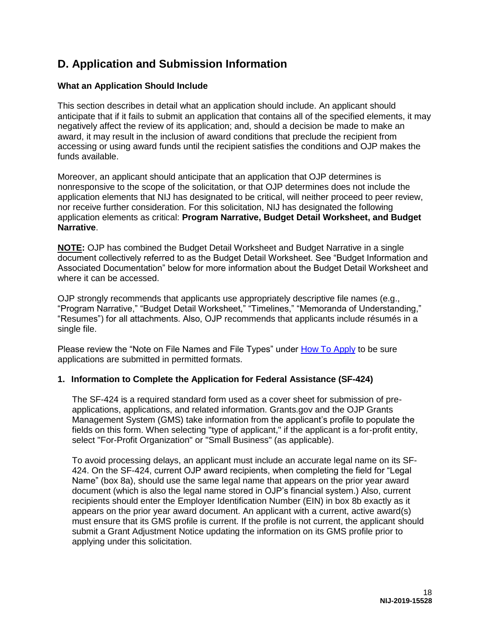# <span id="page-18-0"></span>**D. Application and Submission Information**

# <span id="page-18-1"></span>**What an Application Should Include**

This section describes in detail what an application should include. An applicant should anticipate that if it fails to submit an application that contains all of the specified elements, it may negatively affect the review of its application; and, should a decision be made to make an award, it may result in the inclusion of award conditions that preclude the recipient from accessing or using award funds until the recipient satisfies the conditions and OJP makes the funds available.

Moreover, an applicant should anticipate that an application that OJP determines is nonresponsive to the scope of the solicitation, or that OJP determines does not include the application elements that NIJ has designated to be critical, will neither proceed to peer review, nor receive further consideration. For this solicitation, NIJ has designated the following application elements as critical: **Program Narrative, Budget Detail Worksheet, and Budget Narrative**.

**NOTE:** OJP has combined the Budget Detail Worksheet and Budget Narrative in a single document collectively referred to as the Budget Detail Worksheet. See "Budget Information and Associated Documentation" below for more information about the Budget Detail Worksheet and where it can be accessed.

OJP strongly recommends that applicants use appropriately descriptive file names (e.g., "Program Narrative," "Budget Detail Worksheet," "Timelines," "Memoranda of Understanding," "Resumes") for all attachments. Also, OJP recommends that applicants include résumés in a single file.

Please review the "Note on File Names and File Types" under [How To Apply](#page-31-0) to be sure applications are submitted in permitted formats.

### **1. Information to Complete the Application for Federal Assistance (SF-424)**

The SF-424 is a required standard form used as a cover sheet for submission of preapplications, applications, and related information. Grants.gov and the OJP Grants Management System (GMS) take information from the applicant's profile to populate the fields on this form. When selecting "type of applicant," if the applicant is a for-profit entity, select "For-Profit Organization" or "Small Business" (as applicable).

To avoid processing delays, an applicant must include an accurate legal name on its SF-424. On the SF-424, current OJP award recipients, when completing the field for "Legal Name" (box 8a), should use the same legal name that appears on the prior year award document (which is also the legal name stored in OJP's financial system.) Also, current recipients should enter the Employer Identification Number (EIN) in box 8b exactly as it appears on the prior year award document. An applicant with a current, active award(s) must ensure that its GMS profile is current. If the profile is not current, the applicant should submit a Grant Adjustment Notice updating the information on its GMS profile prior to applying under this solicitation.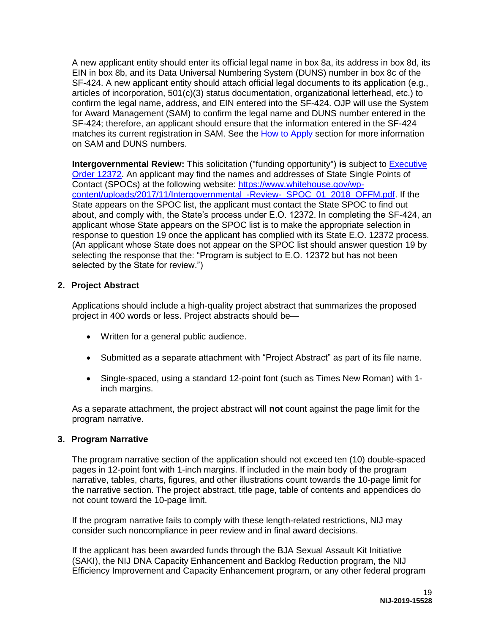A new applicant entity should enter its official legal name in box 8a, its address in box 8d, its EIN in box 8b, and its Data Universal Numbering System (DUNS) number in box 8c of the SF-424. A new applicant entity should attach official legal documents to its application (e.g., articles of incorporation, 501(c)(3) status documentation, organizational letterhead, etc.) to confirm the legal name, address, and EIN entered into the SF-424. OJP will use the System for Award Management (SAM) to confirm the legal name and DUNS number entered in the SF-424; therefore, an applicant should ensure that the information entered in the SF-424 matches its current registration in SAM. See the [How to Apply](#page-31-0) section for more information on SAM and DUNS numbers.

**Intergovernmental Review:** This solicitation ("funding opportunity") **is** subject to [Executive](https://www.archives.gov/federal-register/codification/executive-order/12372.html)  [Order 12372.](https://www.archives.gov/federal-register/codification/executive-order/12372.html) An applicant may find the names and addresses of State Single Points of Contact (SPOCs) at the following website: [https://www.whitehouse.gov/wp](https://www.whitehouse.gov/wp-content/uploads/2017/11/Intergovernmental_-Review-_SPOC_01_2018_OFFM.pdf)[content/uploads/2017/11/Intergovernmental\\_-Review-\\_SPOC\\_01\\_2018\\_OFFM.pdf.](https://www.whitehouse.gov/wp-content/uploads/2017/11/Intergovernmental_-Review-_SPOC_01_2018_OFFM.pdf) If the State appears on the SPOC list, the applicant must contact the State SPOC to find out about, and comply with, the State's process under E.O. 12372. In completing the SF-424, an applicant whose State appears on the SPOC list is to make the appropriate selection in response to question 19 once the applicant has complied with its State E.O. 12372 process. (An applicant whose State does not appear on the SPOC list should answer question 19 by selecting the response that the: "Program is subject to E.O. 12372 but has not been selected by the State for review.")

### **2. Project Abstract**

Applications should include a high-quality project abstract that summarizes the proposed project in 400 words or less. Project abstracts should be—

- Written for a general public audience.
- Submitted as a separate attachment with "Project Abstract" as part of its file name.
- Single-spaced, using a standard 12-point font (such as Times New Roman) with 1 inch margins.

As a separate attachment, the project abstract will **not** count against the page limit for the program narrative.

### **3. Program Narrative**

The program narrative section of the application should not exceed ten (10) double-spaced pages in 12-point font with 1-inch margins. If included in the main body of the program narrative, tables, charts, figures, and other illustrations count towards the 10-page limit for the narrative section. The project abstract, title page, table of contents and appendices do not count toward the 10-page limit.

If the program narrative fails to comply with these length-related restrictions, NIJ may consider such noncompliance in peer review and in final award decisions.

If the applicant has been awarded funds through the BJA Sexual Assault Kit Initiative (SAKI), the NIJ DNA Capacity Enhancement and Backlog Reduction program, the NIJ Efficiency Improvement and Capacity Enhancement program, or any other federal program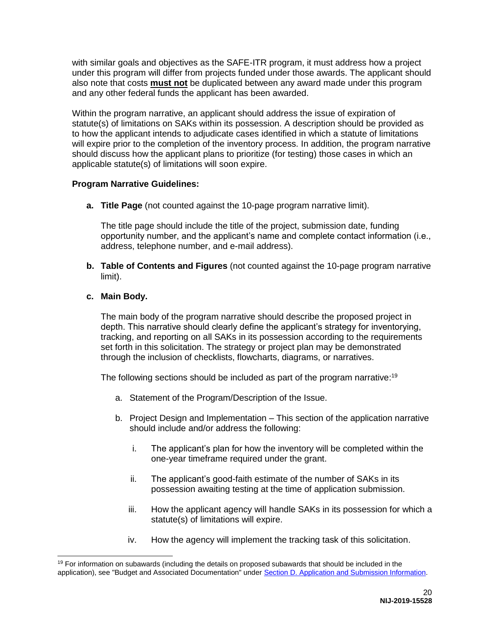with similar goals and objectives as the SAFE-ITR program, it must address how a project under this program will differ from projects funded under those awards. The applicant should also note that costs **must not** be duplicated between any award made under this program and any other federal funds the applicant has been awarded.

Within the program narrative, an applicant should address the issue of expiration of statute(s) of limitations on SAKs within its possession. A description should be provided as to how the applicant intends to adjudicate cases identified in which a statute of limitations will expire prior to the completion of the inventory process. In addition, the program narrative should discuss how the applicant plans to prioritize (for testing) those cases in which an applicable statute(s) of limitations will soon expire.

# **Program Narrative Guidelines:**

**a. Title Page** (not counted against the 10-page program narrative limit).

The title page should include the title of the project, submission date, funding opportunity number, and the applicant's name and complete contact information (i.e., address, telephone number, and e-mail address).

**b. Table of Contents and Figures** (not counted against the 10-page program narrative limit).

# **c. Main Body.**

 $\overline{a}$ 

The main body of the program narrative should describe the proposed project in depth. This narrative should clearly define the applicant's strategy for inventorying, tracking, and reporting on all SAKs in its possession according to the requirements set forth in this solicitation. The strategy or project plan may be demonstrated through the inclusion of checklists, flowcharts, diagrams, or narratives.

The following sections should be included as part of the program narrative:<sup>19</sup>

- a. Statement of the Program/Description of the Issue.
- b. Project Design and Implementation This section of the application narrative should include and/or address the following:
	- i. The applicant's plan for how the inventory will be completed within the one-year timeframe required under the grant.
	- ii. The applicant's good-faith estimate of the number of SAKs in its possession awaiting testing at the time of application submission.
	- iii. How the applicant agency will handle SAKs in its possession for which a statute(s) of limitations will expire.
	- iv. How the agency will implement the tracking task of this solicitation.

 $19$  For information on subawards (including the details on proposed subawards that should be included in the application), see "Budget and Associated Documentation" under [Section D. Application and Submission Information.](#page-18-0)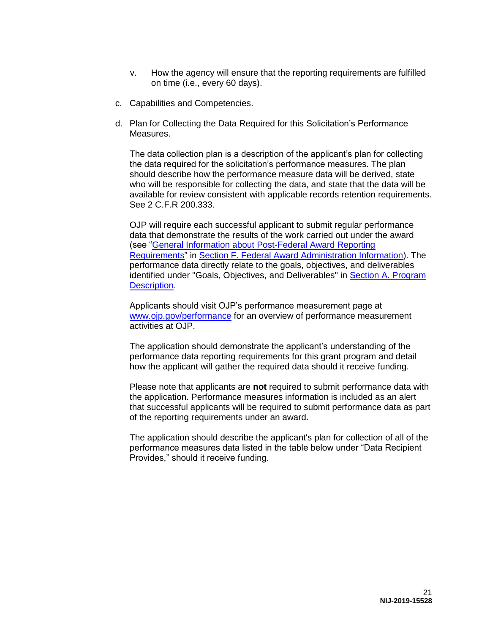- v. How the agency will ensure that the reporting requirements are fulfilled on time (i.e., every 60 days).
- c. Capabilities and Competencies.
- d. Plan for Collecting the Data Required for this Solicitation's Performance Measures.

The data collection plan is a description of the applicant's plan for collecting the data required for the solicitation's performance measures. The plan should describe how the performance measure data will be derived, state who will be responsible for collecting the data, and state that the data will be available for review consistent with applicable records retention requirements. See 2 C.F.R 200.333.

OJP will require each successful applicant to submit regular performance data that demonstrate the results of the work carried out under the award (see ["General Information about Post-Federal Award Reporting](#page-39-1)  [Requirements"](#page-39-1) in [Section F. Federal Award Administration Information\)](#page-38-0). The performance data directly relate to the goals, objectives, and deliverables identified under "Goals, Objectives, and Deliverables" in [Section A. Program](#page-4-0)  [Description.](#page-4-0)

Applicants should visit OJP's performance measurement page at [www.ojp.gov/performance](https://www.ojp.gov/performance) for an overview of performance measurement activities at OJP.

The application should demonstrate the applicant's understanding of the performance data reporting requirements for this grant program and detail how the applicant will gather the required data should it receive funding.

Please note that applicants are **not** required to submit performance data with the application. Performance measures information is included as an alert that successful applicants will be required to submit performance data as part of the reporting requirements under an award.

The application should describe the applicant's plan for collection of all of the performance measures data listed in the table below under "Data Recipient Provides," should it receive funding.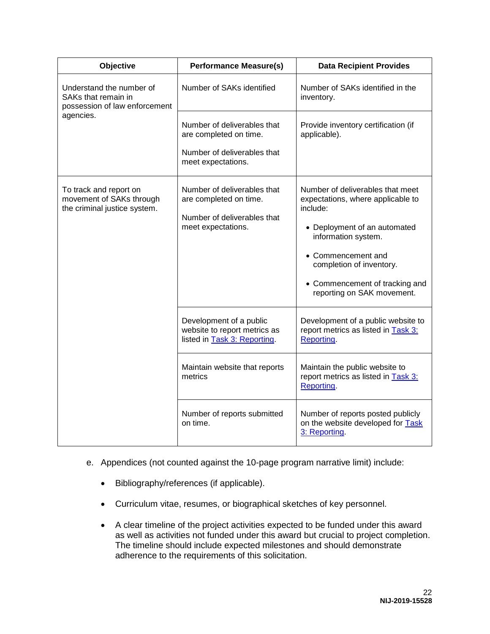| Objective                                                                          | <b>Performance Measure(s)</b>                                                                              | <b>Data Recipient Provides</b>                                                                                                                                                                                                                             |
|------------------------------------------------------------------------------------|------------------------------------------------------------------------------------------------------------|------------------------------------------------------------------------------------------------------------------------------------------------------------------------------------------------------------------------------------------------------------|
| Understand the number of<br>SAKs that remain in<br>possession of law enforcement   | Number of SAKs identified                                                                                  | Number of SAKs identified in the<br>inventory.                                                                                                                                                                                                             |
| agencies.                                                                          | Number of deliverables that<br>are completed on time.<br>Number of deliverables that<br>meet expectations. | Provide inventory certification (if<br>applicable).                                                                                                                                                                                                        |
| To track and report on<br>movement of SAKs through<br>the criminal justice system. | Number of deliverables that<br>are completed on time.<br>Number of deliverables that<br>meet expectations. | Number of deliverables that meet<br>expectations, where applicable to<br>include:<br>• Deployment of an automated<br>information system.<br>• Commencement and<br>completion of inventory.<br>• Commencement of tracking and<br>reporting on SAK movement. |
|                                                                                    | Development of a public<br>website to report metrics as<br>listed in Task 3: Reporting.                    | Development of a public website to<br>report metrics as listed in <b>Task 3:</b><br>Reporting.                                                                                                                                                             |
|                                                                                    | Maintain website that reports<br>metrics                                                                   | Maintain the public website to<br>report metrics as listed in <b>Task 3:</b><br>Reporting.                                                                                                                                                                 |
|                                                                                    | Number of reports submitted<br>on time.                                                                    | Number of reports posted publicly<br>on the website developed for Task<br>3: Reporting.                                                                                                                                                                    |

- e. Appendices (not counted against the 10-page program narrative limit) include:
	- Bibliography/references (if applicable).
	- Curriculum vitae, resumes, or biographical sketches of key personnel.
	- A clear timeline of the project activities expected to be funded under this award as well as activities not funded under this award but crucial to project completion. The timeline should include expected milestones and should demonstrate adherence to the requirements of this solicitation.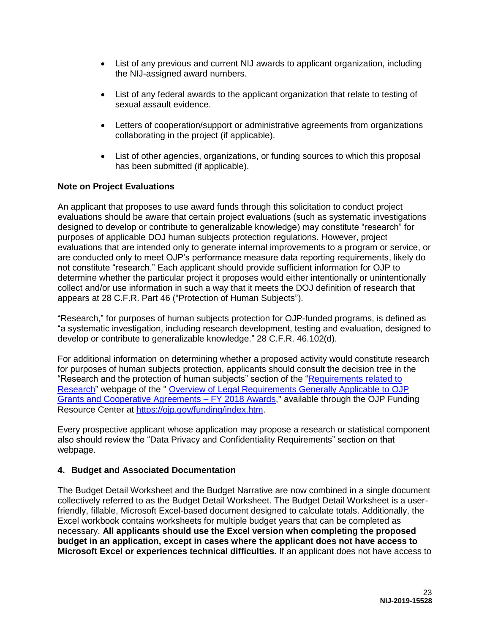- List of any previous and current NIJ awards to applicant organization, including the NIJ-assigned award numbers.
- List of any federal awards to the applicant organization that relate to testing of sexual assault evidence.
- Letters of cooperation/support or administrative agreements from organizations collaborating in the project (if applicable).
- List of other agencies, organizations, or funding sources to which this proposal has been submitted (if applicable).

# **Note on Project Evaluations**

An applicant that proposes to use award funds through this solicitation to conduct project evaluations should be aware that certain project evaluations (such as systematic investigations designed to develop or contribute to generalizable knowledge) may constitute "research" for purposes of applicable DOJ human subjects protection regulations. However, project evaluations that are intended only to generate internal improvements to a program or service, or are conducted only to meet OJP's performance measure data reporting requirements, likely do not constitute "research." Each applicant should provide sufficient information for OJP to determine whether the particular project it proposes would either intentionally or unintentionally collect and/or use information in such a way that it meets the DOJ definition of research that appears at 28 C.F.R. Part 46 ("Protection of Human Subjects").

"Research," for purposes of human subjects protection for OJP-funded programs, is defined as "a systematic investigation, including research development, testing and evaluation, designed to develop or contribute to generalizable knowledge." 28 C.F.R. 46.102(d).

For additional information on determining whether a proposed activity would constitute research for purposes of human subjects protection, applicants should consult the decision tree in the "Research and the protection of human subjects" section of the ["Requirements related to](https://ojp.gov/funding/Explore/SolicitationRequirements/EvidenceResearchEvaluationRequirements.htm)  [Research"](https://ojp.gov/funding/Explore/SolicitationRequirements/EvidenceResearchEvaluationRequirements.htm) webpage of the " [Overview of Legal Requirements Generally Applicable to OJP](https://ojp.gov/funding/Explore/LegalOverview/index.htm)  [Grants and Cooperative Agreements – FY 2018 Awards,](https://ojp.gov/funding/Explore/LegalOverview/index.htm)" available through the OJP Funding Resource Center at [https://ojp.gov/funding/index.htm.](https://ojp.gov/funding/index.htm)

Every prospective applicant whose application may propose a research or statistical component also should review the "Data Privacy and Confidentiality Requirements" section on that webpage.

### **4. Budget and Associated Documentation**

The Budget Detail Worksheet and the Budget Narrative are now combined in a single document collectively referred to as the Budget Detail Worksheet. The Budget Detail Worksheet is a userfriendly, fillable, Microsoft Excel-based document designed to calculate totals. Additionally, the Excel workbook contains worksheets for multiple budget years that can be completed as necessary. **All applicants should use the Excel version when completing the proposed budget in an application, except in cases where the applicant does not have access to Microsoft Excel or experiences technical difficulties.** If an applicant does not have access to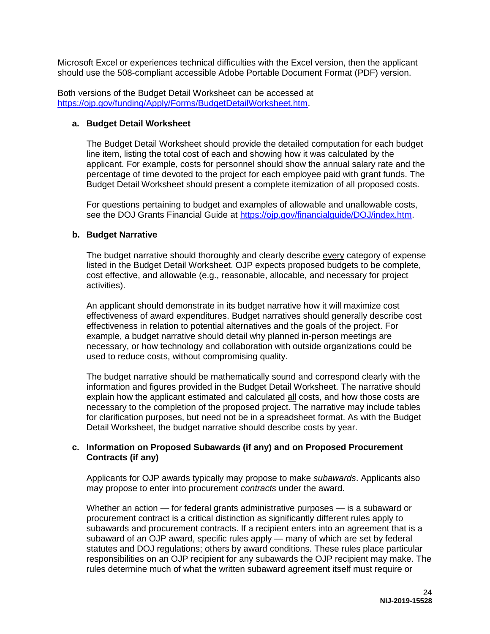Microsoft Excel or experiences technical difficulties with the Excel version, then the applicant should use the 508-compliant accessible Adobe Portable Document Format (PDF) version.

Both versions of the Budget Detail Worksheet can be accessed at [https://ojp.gov/funding/Apply/Forms/BudgetDetailWorksheet.htm.](https://ojp.gov/funding/Apply/Forms/BudgetDetailWorksheet.htm)

#### **a. Budget Detail Worksheet**

The Budget Detail Worksheet should provide the detailed computation for each budget line item, listing the total cost of each and showing how it was calculated by the applicant. For example, costs for personnel should show the annual salary rate and the percentage of time devoted to the project for each employee paid with grant funds. The Budget Detail Worksheet should present a complete itemization of all proposed costs.

For questions pertaining to budget and examples of allowable and unallowable costs, see the DOJ Grants Financial Guide at [https://ojp.gov/financialguide/DOJ/index.htm.](https://ojp.gov/financialguide/DOJ/index.htm)

### **b. Budget Narrative**

The budget narrative should thoroughly and clearly describe every category of expense listed in the Budget Detail Worksheet. OJP expects proposed budgets to be complete, cost effective, and allowable (e.g., reasonable, allocable, and necessary for project activities).

An applicant should demonstrate in its budget narrative how it will maximize cost effectiveness of award expenditures. Budget narratives should generally describe cost effectiveness in relation to potential alternatives and the goals of the project. For example, a budget narrative should detail why planned in-person meetings are necessary, or how technology and collaboration with outside organizations could be used to reduce costs, without compromising quality.

The budget narrative should be mathematically sound and correspond clearly with the information and figures provided in the Budget Detail Worksheet. The narrative should explain how the applicant estimated and calculated all costs, and how those costs are necessary to the completion of the proposed project. The narrative may include tables for clarification purposes, but need not be in a spreadsheet format. As with the Budget Detail Worksheet, the budget narrative should describe costs by year.

#### **c. Information on Proposed Subawards (if any) and on Proposed Procurement Contracts (if any)**

Applicants for OJP awards typically may propose to make *subawards*. Applicants also may propose to enter into procurement *contracts* under the award.

Whether an action — for federal grants administrative purposes — is a subaward or procurement contract is a critical distinction as significantly different rules apply to subawards and procurement contracts. If a recipient enters into an agreement that is a subaward of an OJP award, specific rules apply — many of which are set by federal statutes and DOJ regulations; others by award conditions. These rules place particular responsibilities on an OJP recipient for any subawards the OJP recipient may make. The rules determine much of what the written subaward agreement itself must require or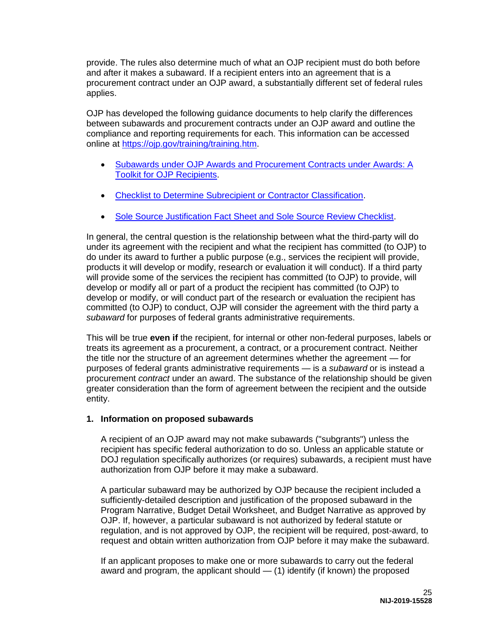provide. The rules also determine much of what an OJP recipient must do both before and after it makes a subaward. If a recipient enters into an agreement that is a procurement contract under an OJP award, a substantially different set of federal rules applies.

OJP has developed the following guidance documents to help clarify the differences between subawards and procurement contracts under an OJP award and outline the compliance and reporting requirements for each. This information can be accessed online at [https://ojp.gov/training/training.htm.](https://ojp.gov/training/training.htm)

- [Subawards under OJP Awards and Procurement Contracts under Awards: A](https://ojp.gov/training/pdfs/Subaward-Procure-Toolkit-D.pdf)  [Toolkit for OJP Recipients.](https://ojp.gov/training/pdfs/Subaward-Procure-Toolkit-D.pdf)
- [Checklist to Determine Subrecipient or Contractor Classification.](https://ojp.gov/training/pdfs/Subrecipient-Procure-cklist-B.pdf)
- [Sole Source Justification Fact Sheet and Sole Source Review Checklist.](https://ojp.gov/training/pdfs/Sole-Source-FactSheet-C.pdf)

In general, the central question is the relationship between what the third-party will do under its agreement with the recipient and what the recipient has committed (to OJP) to do under its award to further a public purpose (e.g., services the recipient will provide, products it will develop or modify, research or evaluation it will conduct). If a third party will provide some of the services the recipient has committed (to OJP) to provide, will develop or modify all or part of a product the recipient has committed (to OJP) to develop or modify, or will conduct part of the research or evaluation the recipient has committed (to OJP) to conduct, OJP will consider the agreement with the third party a *subaward* for purposes of federal grants administrative requirements.

This will be true **even if** the recipient, for internal or other non-federal purposes, labels or treats its agreement as a procurement, a contract, or a procurement contract. Neither the title nor the structure of an agreement determines whether the agreement — for purposes of federal grants administrative requirements — is a *subaward* or is instead a procurement *contract* under an award. The substance of the relationship should be given greater consideration than the form of agreement between the recipient and the outside entity.

# **1. Information on proposed subawards**

A recipient of an OJP award may not make subawards ("subgrants") unless the recipient has specific federal authorization to do so. Unless an applicable statute or DOJ regulation specifically authorizes (or requires) subawards, a recipient must have authorization from OJP before it may make a subaward.

A particular subaward may be authorized by OJP because the recipient included a sufficiently-detailed description and justification of the proposed subaward in the Program Narrative, Budget Detail Worksheet, and Budget Narrative as approved by OJP. If, however, a particular subaward is not authorized by federal statute or regulation, and is not approved by OJP, the recipient will be required, post-award, to request and obtain written authorization from OJP before it may make the subaward.

If an applicant proposes to make one or more subawards to carry out the federal award and program, the applicant should — (1) identify (if known) the proposed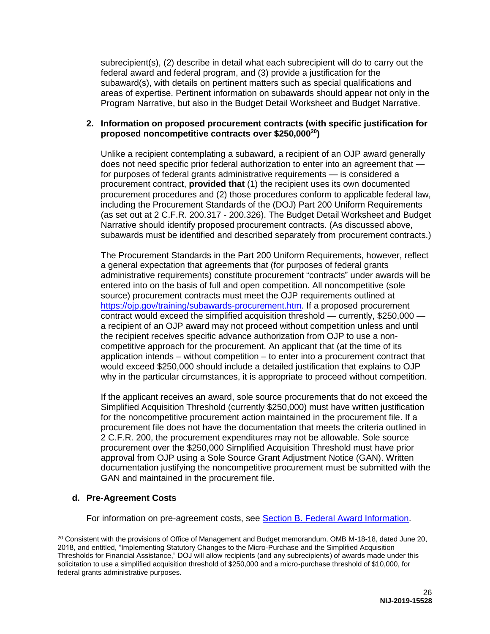subrecipient(s), (2) describe in detail what each subrecipient will do to carry out the federal award and federal program, and (3) provide a justification for the subaward(s), with details on pertinent matters such as special qualifications and areas of expertise. Pertinent information on subawards should appear not only in the Program Narrative, but also in the Budget Detail Worksheet and Budget Narrative.

### **2. Information on proposed procurement contracts (with specific justification for proposed noncompetitive contracts over \$250,000<sup>20</sup>)**

Unlike a recipient contemplating a subaward, a recipient of an OJP award generally does not need specific prior federal authorization to enter into an agreement that for purposes of federal grants administrative requirements — is considered a procurement contract, **provided that** (1) the recipient uses its own documented procurement procedures and (2) those procedures conform to applicable federal law, including the Procurement Standards of the (DOJ) Part 200 Uniform Requirements (as set out at 2 C.F.R. 200.317 - 200.326). The Budget Detail Worksheet and Budget Narrative should identify proposed procurement contracts. (As discussed above, subawards must be identified and described separately from procurement contracts.)

The Procurement Standards in the Part 200 Uniform Requirements, however, reflect a general expectation that agreements that (for purposes of federal grants administrative requirements) constitute procurement "contracts" under awards will be entered into on the basis of full and open competition. All noncompetitive (sole source) procurement contracts must meet the OJP requirements outlined at [https://ojp.gov/training/subawards-procurement.htm.](https://ojp.gov/training/subawards-procurement.htm) If a proposed procurement contract would exceed the simplified acquisition threshold — currently, \$250,000 a recipient of an OJP award may not proceed without competition unless and until the recipient receives specific advance authorization from OJP to use a noncompetitive approach for the procurement. An applicant that (at the time of its application intends – without competition – to enter into a procurement contract that would exceed \$250,000 should include a detailed justification that explains to OJP why in the particular circumstances, it is appropriate to proceed without competition.

If the applicant receives an award, sole source procurements that do not exceed the Simplified Acquisition Threshold (currently \$250,000) must have written justification for the noncompetitive procurement action maintained in the procurement file. If a procurement file does not have the documentation that meets the criteria outlined in 2 C.F.R. 200, the procurement expenditures may not be allowable. Sole source procurement over the \$250,000 Simplified Acquisition Threshold must have prior approval from OJP using a Sole Source Grant Adjustment Notice (GAN). Written documentation justifying the noncompetitive procurement must be submitted with the GAN and maintained in the procurement file.

### **d. Pre-Agreement Costs**

 $\overline{a}$ 

For information on pre-agreement costs, see [Section B. Federal Award Information.](#page-12-0)

<sup>&</sup>lt;sup>20</sup> Consistent with the provisions of Office of Management and Budget memorandum, OMB M-18-18, dated June 20, 2018, and entitled, "Implementing Statutory Changes to the Micro-Purchase and the Simplified Acquisition Thresholds for Financial Assistance," DOJ will allow recipients (and any subrecipients) of awards made under this solicitation to use a simplified acquisition threshold of \$250,000 and a micro-purchase threshold of \$10,000, for federal grants administrative purposes.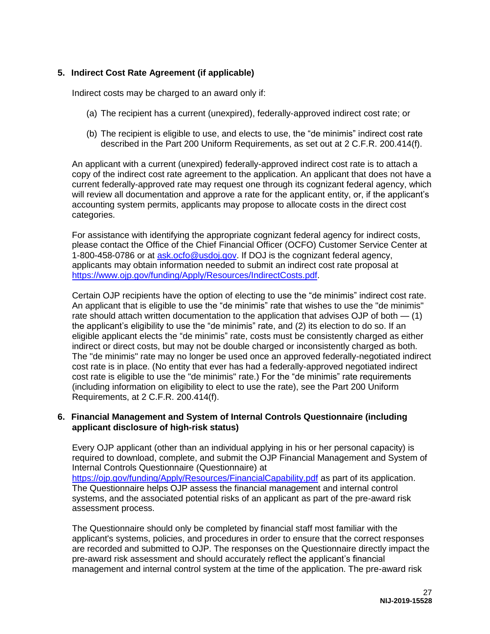# **5. Indirect Cost Rate Agreement (if applicable)**

Indirect costs may be charged to an award only if:

- (a) The recipient has a current (unexpired), federally-approved indirect cost rate; or
- (b) The recipient is eligible to use, and elects to use, the "de minimis" indirect cost rate described in the Part 200 Uniform Requirements, as set out at 2 C.F.R. 200.414(f).

An applicant with a current (unexpired) federally-approved indirect cost rate is to attach a copy of the indirect cost rate agreement to the application. An applicant that does not have a current federally-approved rate may request one through its cognizant federal agency, which will review all documentation and approve a rate for the applicant entity, or, if the applicant's accounting system permits, applicants may propose to allocate costs in the direct cost categories.

For assistance with identifying the appropriate cognizant federal agency for indirect costs, please contact the Office of the Chief Financial Officer (OCFO) Customer Service Center at 1-800-458-0786 or at [ask.ocfo@usdoj.gov.](mailto:ask.ocfo@usdoj.gov) If DOJ is the cognizant federal agency, applicants may obtain information needed to submit an indirect cost rate proposal at [https://www.ojp.gov/funding/Apply/Resources/IndirectCosts.pdf.](https://www.ojp.gov/funding/Apply/Resources/IndirectCosts.pdf)

Certain OJP recipients have the option of electing to use the "de minimis" indirect cost rate. An applicant that is eligible to use the "de minimis" rate that wishes to use the "de minimis" rate should attach written documentation to the application that advises OJP of both — (1) the applicant's eligibility to use the "de minimis" rate, and (2) its election to do so. If an eligible applicant elects the "de minimis" rate, costs must be consistently charged as either indirect or direct costs, but may not be double charged or inconsistently charged as both. The "de minimis" rate may no longer be used once an approved federally-negotiated indirect cost rate is in place. (No entity that ever has had a federally-approved negotiated indirect cost rate is eligible to use the "de minimis" rate.) For the "de minimis" rate requirements (including information on eligibility to elect to use the rate), see the Part 200 Uniform Requirements, at 2 C.F.R. 200.414(f).

#### **6. Financial Management and System of Internal Controls Questionnaire (including applicant disclosure of high-risk status)**

Every OJP applicant (other than an individual applying in his or her personal capacity) is required to download, complete, and submit the OJP Financial Management and System of Internal Controls Questionnaire (Questionnaire) at <https://ojp.gov/funding/Apply/Resources/FinancialCapability.pdf>as part of its application. The Questionnaire helps OJP assess the financial management and internal control systems, and the associated potential risks of an applicant as part of the pre-award risk assessment process.

The Questionnaire should only be completed by financial staff most familiar with the applicant's systems, policies, and procedures in order to ensure that the correct responses are recorded and submitted to OJP. The responses on the Questionnaire directly impact the pre-award risk assessment and should accurately reflect the applicant's financial management and internal control system at the time of the application. The pre-award risk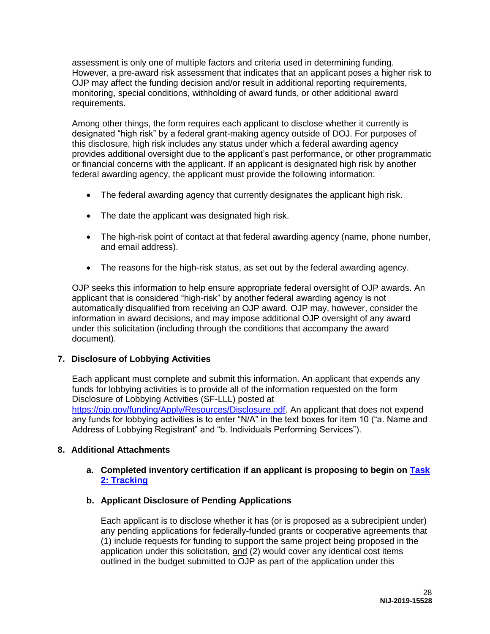assessment is only one of multiple factors and criteria used in determining funding. However, a pre-award risk assessment that indicates that an applicant poses a higher risk to OJP may affect the funding decision and/or result in additional reporting requirements, monitoring, special conditions, withholding of award funds, or other additional award requirements.

Among other things, the form requires each applicant to disclose whether it currently is designated "high risk" by a federal grant-making agency outside of DOJ. For purposes of this disclosure, high risk includes any status under which a federal awarding agency provides additional oversight due to the applicant's past performance, or other programmatic or financial concerns with the applicant. If an applicant is designated high risk by another federal awarding agency, the applicant must provide the following information:

- The federal awarding agency that currently designates the applicant high risk.
- The date the applicant was designated high risk.
- The high-risk point of contact at that federal awarding agency (name, phone number, and email address).
- The reasons for the high-risk status, as set out by the federal awarding agency.

OJP seeks this information to help ensure appropriate federal oversight of OJP awards. An applicant that is considered "high-risk" by another federal awarding agency is not automatically disqualified from receiving an OJP award. OJP may, however, consider the information in award decisions, and may impose additional OJP oversight of any award under this solicitation (including through the conditions that accompany the award document).

### **7. Disclosure of Lobbying Activities**

Each applicant must complete and submit this information. An applicant that expends any funds for lobbying activities is to provide all of the information requested on the form Disclosure of Lobbying Activities (SF-LLL) posted at [https://ojp.gov/funding/Apply/Resources/Disclosure.pdf.](https://ojp.gov/funding/Apply/Resources/Disclosure.pdf) An applicant that does not expend any funds for lobbying activities is to enter "N/A" in the text boxes for item 10 ("a. Name and Address of Lobbying Registrant" and "b. Individuals Performing Services").

### **8. Additional Attachments**

### **a. Completed inventory certification if an applicant is proposing to begin on [Task](#page-7-0) [2: Tracking](#page-7-0)**

**b. Applicant Disclosure of Pending Applications**

Each applicant is to disclose whether it has (or is proposed as a subrecipient under) any pending applications for federally-funded grants or cooperative agreements that (1) include requests for funding to support the same project being proposed in the application under this solicitation, and (2) would cover any identical cost items outlined in the budget submitted to OJP as part of the application under this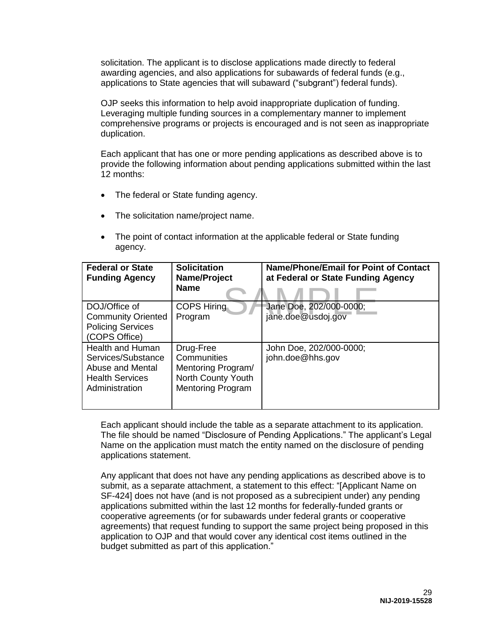solicitation. The applicant is to disclose applications made directly to federal awarding agencies, and also applications for subawards of federal funds (e.g., applications to State agencies that will subaward ("subgrant") federal funds).

OJP seeks this information to help avoid inappropriate duplication of funding. Leveraging multiple funding sources in a complementary manner to implement comprehensive programs or projects is encouraged and is not seen as inappropriate duplication.

Each applicant that has one or more pending applications as described above is to provide the following information about pending applications submitted within the last 12 months:

- The federal or State funding agency.
- The solicitation name/project name.
- The point of contact information at the applicable federal or State funding agency.

| <b>Federal or State</b><br><b>Funding Agency</b>                                                              | <b>Solicitation</b><br>Name/Project<br><b>Name</b>                                               | <b>Name/Phone/Email for Point of Contact</b><br>at Federal or State Funding Agency |
|---------------------------------------------------------------------------------------------------------------|--------------------------------------------------------------------------------------------------|------------------------------------------------------------------------------------|
| DOJ/Office of<br><b>Community Oriented</b><br><b>Policing Services</b><br>(COPS Office)                       | <b>COPS Hiring</b><br>Program                                                                    | Jane Doe, 202/000-0000;<br>jane.doe@usdoj.gov                                      |
| <b>Health and Human</b><br>Services/Substance<br>Abuse and Mental<br><b>Health Services</b><br>Administration | Drug-Free<br>Communities<br>Mentoring Program/<br>North County Youth<br><b>Mentoring Program</b> | John Doe, 202/000-0000;<br>john.doe@hhs.gov                                        |

Each applicant should include the table as a separate attachment to its application. The file should be named "Disclosure of Pending Applications." The applicant's Legal Name on the application must match the entity named on the disclosure of pending applications statement.

Any applicant that does not have any pending applications as described above is to submit, as a separate attachment, a statement to this effect: "[Applicant Name on SF-424] does not have (and is not proposed as a subrecipient under) any pending applications submitted within the last 12 months for federally-funded grants or cooperative agreements (or for subawards under federal grants or cooperative agreements) that request funding to support the same project being proposed in this application to OJP and that would cover any identical cost items outlined in the budget submitted as part of this application."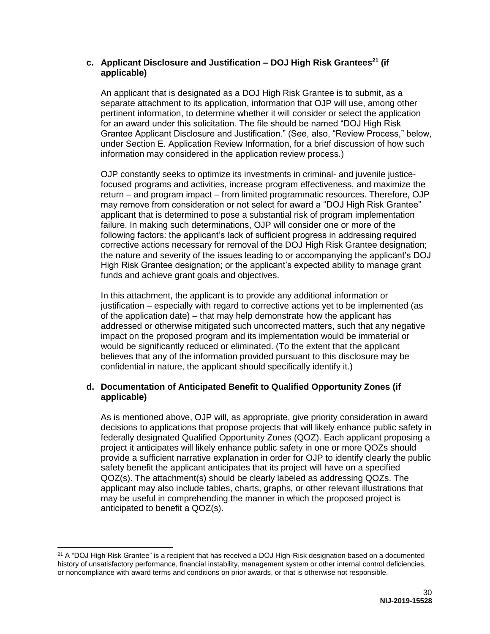### **c. Applicant Disclosure and Justification – DOJ High Risk Grantees<sup>21</sup> (if applicable)**

An applicant that is designated as a DOJ High Risk Grantee is to submit, as a separate attachment to its application, information that OJP will use, among other pertinent information, to determine whether it will consider or select the application for an award under this solicitation. The file should be named "DOJ High Risk Grantee Applicant Disclosure and Justification." (See, also, "Review Process," below, under Section E. Application Review Information, for a brief discussion of how such information may considered in the application review process.)

OJP constantly seeks to optimize its investments in criminal- and juvenile justicefocused programs and activities, increase program effectiveness, and maximize the return – and program impact – from limited programmatic resources. Therefore, OJP may remove from consideration or not select for award a "DOJ High Risk Grantee" applicant that is determined to pose a substantial risk of program implementation failure. In making such determinations, OJP will consider one or more of the following factors: the applicant's lack of sufficient progress in addressing required corrective actions necessary for removal of the DOJ High Risk Grantee designation; the nature and severity of the issues leading to or accompanying the applicant's DOJ High Risk Grantee designation; or the applicant's expected ability to manage grant funds and achieve grant goals and objectives.

In this attachment, the applicant is to provide any additional information or justification – especially with regard to corrective actions yet to be implemented (as of the application date) – that may help demonstrate how the applicant has addressed or otherwise mitigated such uncorrected matters, such that any negative impact on the proposed program and its implementation would be immaterial or would be significantly reduced or eliminated. (To the extent that the applicant believes that any of the information provided pursuant to this disclosure may be confidential in nature, the applicant should specifically identify it.)

# **d. Documentation of Anticipated Benefit to Qualified Opportunity Zones (if applicable)**

As is mentioned above, OJP will, as appropriate, give priority consideration in award decisions to applications that propose projects that will likely enhance public safety in federally designated Qualified Opportunity Zones (QOZ). Each applicant proposing a project it anticipates will likely enhance public safety in one or more QOZs should provide a sufficient narrative explanation in order for OJP to identify clearly the public safety benefit the applicant anticipates that its project will have on a specified QOZ(s). The attachment(s) should be clearly labeled as addressing QOZs. The applicant may also include tables, charts, graphs, or other relevant illustrations that may be useful in comprehending the manner in which the proposed project is anticipated to benefit a QOZ(s).

<sup>&</sup>lt;sup>21</sup> A "DOJ High Risk Grantee" is a recipient that has received a DOJ High-Risk designation based on a documented history of unsatisfactory performance, financial instability, management system or other internal control deficiencies, or noncompliance with award terms and conditions on prior awards, or that is otherwise not responsible.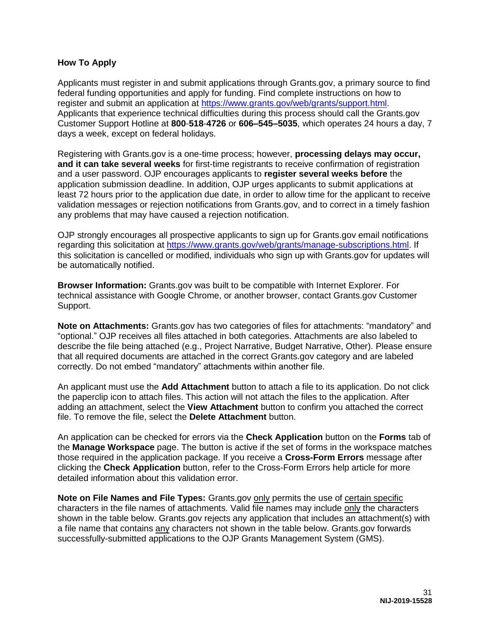#### <span id="page-31-0"></span>**How To Apply**

Applicants must register in and submit applications through Grants.gov, a primary source to find federal funding opportunities and apply for funding. Find complete instructions on how to register and submit an application at [https://www.grants.gov/web/grants/support.html.](https://www.grants.gov/web/grants/support.html) Applicants that experience technical difficulties during this process should call the Grants.gov Customer Support Hotline at **800**-**518**-**4726** or **606–545–5035**, which operates 24 hours a day, 7 days a week, except on federal holidays.

Registering with Grants.gov is a one-time process; however, **processing delays may occur, and it can take several weeks** for first-time registrants to receive confirmation of registration and a user password. OJP encourages applicants to **register several weeks before** the application submission deadline. In addition, OJP urges applicants to submit applications at least 72 hours prior to the application due date, in order to allow time for the applicant to receive validation messages or rejection notifications from Grants.gov, and to correct in a timely fashion any problems that may have caused a rejection notification.

OJP strongly encourages all prospective applicants to sign up for Grants.gov email notifications regarding this solicitation at [https://www.grants.gov/web/grants/manage-subscriptions.html.](https://www.grants.gov/web/grants/manage-subscriptions.html) If this solicitation is cancelled or modified, individuals who sign up with Grants.gov for updates will be automatically notified.

**Browser Information:** Grants.gov was built to be compatible with Internet Explorer. For technical assistance with Google Chrome, or another browser, contact Grants.gov Customer Support.

**Note on Attachments:** Grants.gov has two categories of files for attachments: "mandatory" and "optional." OJP receives all files attached in both categories. Attachments are also labeled to describe the file being attached (e.g., Project Narrative, Budget Narrative, Other). Please ensure that all required documents are attached in the correct Grants.gov category and are labeled correctly. Do not embed "mandatory" attachments within another file.

An applicant must use the **Add Attachment** button to attach a file to its application. Do not click the paperclip icon to attach files. This action will not attach the files to the application. After adding an attachment, select the **View Attachment** button to confirm you attached the correct file. To remove the file, select the **Delete Attachment** button.

An application can be checked for errors via the **Check Application** button on the **Forms** tab of the **Manage Workspace** page. The button is active if the set of forms in the workspace matches those required in the application package. If you receive a **Cross-Form Errors** message after clicking the **Check Application** button, refer to the Cross-Form Errors help article for more detailed information about this validation error.

**Note on File Names and File Types:** Grants.gov only permits the use of certain specific characters in the file names of attachments. Valid file names may include only the characters shown in the table below. Grants.gov rejects any application that includes an attachment(s) with a file name that contains any characters not shown in the table below. Grants.gov forwards successfully-submitted applications to the OJP Grants Management System (GMS).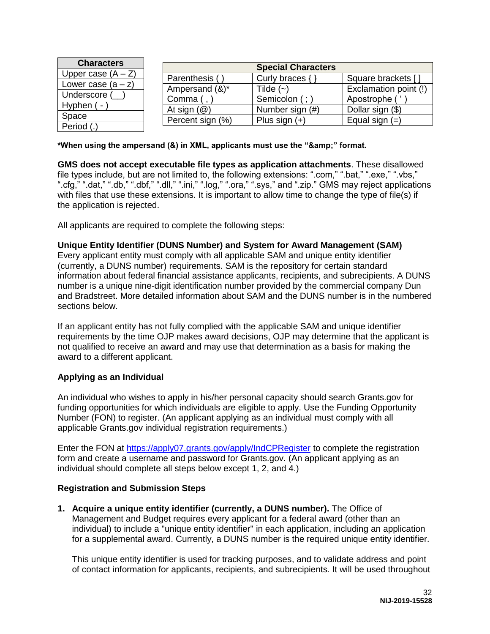| <b>Characters</b>        |                         | <b>Special Characters</b> |                       |
|--------------------------|-------------------------|---------------------------|-----------------------|
| Upper case $(A - Z)$     | Parenthesis (           | Curly braces {            | Square brackets [     |
| Lower case $(a - z)$     | Ampersand (&)*          | Tilde $(-)$               | Exclamation point (!) |
| Underscore<br>Hyphen ( - | Comma (                 | Semicolon (;              | Apostrophe (          |
|                          | At sign $(\mathcal{Q})$ | Number sign (#)           | Dollar sign (\$)      |
| Space                    | Percent sign (%)        | Plus sign $(+)$           | Equal sign $(=)$      |
| Period (.                |                         |                           |                       |

\*When using the ampersand (&) in XML, applicants must use the "&" format.

**GMS does not accept executable file types as application attachments**. These disallowed file types include, but are not limited to, the following extensions: ".com," ".bat," ".exe," ".vbs," ".cfg," ".dat," ".db," ".dbf," ".dll," ".ini," ".log," ".ora," ".sys," and ".zip." GMS may reject applications with files that use these extensions. It is important to allow time to change the type of file(s) if the application is rejected.

All applicants are required to complete the following steps:

#### **Unique Entity Identifier (DUNS Number) and System for Award Management (SAM)**

Every applicant entity must comply with all applicable SAM and unique entity identifier (currently, a DUNS number) requirements. SAM is the repository for certain standard information about federal financial assistance applicants, recipients, and subrecipients. A DUNS number is a unique nine-digit identification number provided by the commercial company Dun and Bradstreet. More detailed information about SAM and the DUNS number is in the numbered sections below.

If an applicant entity has not fully complied with the applicable SAM and unique identifier requirements by the time OJP makes award decisions, OJP may determine that the applicant is not qualified to receive an award and may use that determination as a basis for making the award to a different applicant.

#### **Applying as an Individual**

An individual who wishes to apply in his/her personal capacity should search Grants.gov for funding opportunities for which individuals are eligible to apply. Use the Funding Opportunity Number (FON) to register. (An applicant applying as an individual must comply with all applicable Grants.gov individual registration requirements.)

Enter the FON at<https://apply07.grants.gov/apply/IndCPRegister>to complete the registration form and create a username and password for Grants.gov. (An applicant applying as an individual should complete all steps below except 1, 2, and 4.)

### **Registration and Submission Steps**

**1. Acquire a unique entity identifier (currently, a DUNS number).** The Office of Management and Budget requires every applicant for a federal award (other than an individual) to include a "unique entity identifier" in each application, including an application for a supplemental award. Currently, a DUNS number is the required unique entity identifier.

This unique entity identifier is used for tracking purposes, and to validate address and point of contact information for applicants, recipients, and subrecipients. It will be used throughout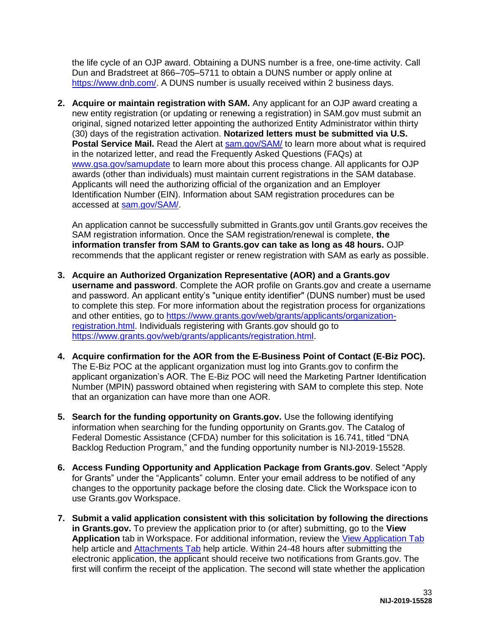the life cycle of an OJP award. Obtaining a DUNS number is a free, one-time activity. Call Dun and Bradstreet at 866–705–5711 to obtain a DUNS number or apply online at [https://www.dnb.com/.](https://www.dnb.com/) A DUNS number is usually received within 2 business days.

**2. Acquire or maintain registration with SAM.** Any applicant for an OJP award creating a new entity registration (or updating or renewing a registration) in SAM.gov must submit an original, signed notarized letter appointing the authorized Entity Administrator within thirty (30) days of the registration activation. **Notarized letters must be submitted via U.S.**  Postal Service Mail. Read the Alert at **sam.gov/SAM/** to learn more about what is required in the notarized letter, and read the Frequently Asked Questions (FAQs) at [www.gsa.gov/samupdate](https://www.gsa.gov/samupdate) to learn more about this process change. All applicants for OJP awards (other than individuals) must maintain current registrations in the SAM database. Applicants will need the authorizing official of the organization and an Employer Identification Number (EIN). Information about SAM registration procedures can be accessed at [sam.gov/SAM/.](https://sam.gov/SAM/)

An application cannot be successfully submitted in Grants.gov until Grants.gov receives the SAM registration information. Once the SAM registration/renewal is complete, **the information transfer from SAM to Grants.gov can take as long as 48 hours.** OJP recommends that the applicant register or renew registration with SAM as early as possible.

- **3. Acquire an Authorized Organization Representative (AOR) and a Grants.gov username and password**. Complete the AOR profile on Grants.gov and create a username and password. An applicant entity's "unique entity identifier" (DUNS number) must be used to complete this step. For more information about the registration process for organizations and other entities, go to [https://www.grants.gov/web/grants/applicants/organization](https://www.grants.gov/web/grants/applicants/organization-registration.html)[registration.html.](https://www.grants.gov/web/grants/applicants/organization-registration.html) Individuals registering with Grants.gov should go to [https://www.grants.gov/web/grants/applicants/registration.html.](https://www.grants.gov/web/grants/applicants/registration.html)
- **4. Acquire confirmation for the AOR from the E-Business Point of Contact (E-Biz POC).**  The E-Biz POC at the applicant organization must log into Grants.gov to confirm the applicant organization's AOR. The E-Biz POC will need the Marketing Partner Identification Number (MPIN) password obtained when registering with SAM to complete this step. Note that an organization can have more than one AOR.
- **5. Search for the funding opportunity on Grants.gov.** Use the following identifying information when searching for the funding opportunity on Grants.gov. The Catalog of Federal Domestic Assistance (CFDA) number for this solicitation is 16.741, titled "DNA Backlog Reduction Program," and the funding opportunity number is NIJ-2019-15528.
- **6. Access Funding Opportunity and Application Package from Grants.gov**. Select "Apply for Grants" under the "Applicants" column. Enter your email address to be notified of any changes to the opportunity package before the closing date. Click the Workspace icon to use Grants.gov Workspace.
- **7. Submit a valid application consistent with this solicitation by following the directions in Grants.gov.** To preview the application prior to (or after) submitting, go to the **View Application** tab in Workspace. For additional information, review the [View Application Tab](https://www.grants.gov/help/html/help/ManageWorkspaces/ViewApplicationTab.htm) help article and [Attachments Tab](https://www.grants.gov/help/html/help/ManageWorkspaces/AttachmentsTab.htm) help article. Within 24-48 hours after submitting the electronic application, the applicant should receive two notifications from Grants.gov. The first will confirm the receipt of the application. The second will state whether the application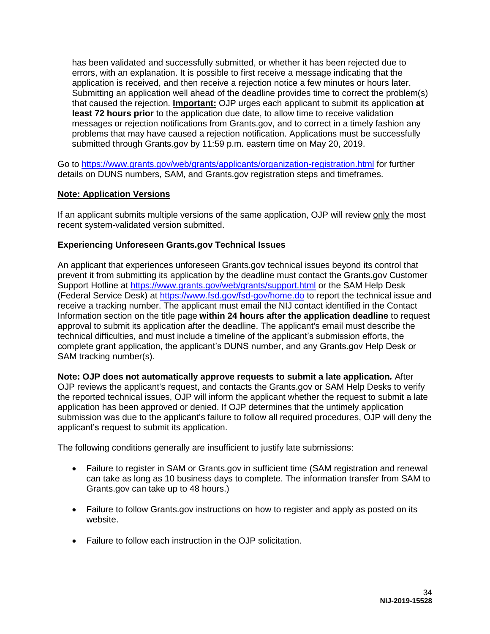has been validated and successfully submitted, or whether it has been rejected due to errors, with an explanation. It is possible to first receive a message indicating that the application is received, and then receive a rejection notice a few minutes or hours later. Submitting an application well ahead of the deadline provides time to correct the problem(s) that caused the rejection. **Important:** OJP urges each applicant to submit its application **at least 72 hours prior** to the application due date, to allow time to receive validation messages or rejection notifications from Grants.gov, and to correct in a timely fashion any problems that may have caused a rejection notification. Applications must be successfully submitted through Grants.gov by 11:59 p.m. eastern time on May 20, 2019.

Go to<https://www.grants.gov/web/grants/applicants/organization-registration.html>for further details on DUNS numbers, SAM, and Grants.gov registration steps and timeframes.

### **Note: Application Versions**

If an applicant submits multiple versions of the same application, OJP will review only the most recent system-validated version submitted.

#### **Experiencing Unforeseen Grants.gov Technical Issues**

An applicant that experiences unforeseen Grants.gov technical issues beyond its control that prevent it from submitting its application by the deadline must contact the Grants.gov Customer Support Hotline at<https://www.grants.gov/web/grants/support.html>or the SAM Help Desk (Federal Service Desk) at<https://www.fsd.gov/fsd-gov/home.do>to report the technical issue and receive a tracking number. The applicant must email the NIJ contact identified in the Contact Information section on the title page **within 24 hours after the application deadline** to request approval to submit its application after the deadline. The applicant's email must describe the technical difficulties, and must include a timeline of the applicant's submission efforts, the complete grant application, the applicant's DUNS number, and any Grants.gov Help Desk or SAM tracking number(s).

**Note: OJP does not automatically approve requests to submit a late application***.* After OJP reviews the applicant's request, and contacts the Grants.gov or SAM Help Desks to verify the reported technical issues, OJP will inform the applicant whether the request to submit a late application has been approved or denied. If OJP determines that the untimely application submission was due to the applicant's failure to follow all required procedures, OJP will deny the applicant's request to submit its application.

The following conditions generally are insufficient to justify late submissions:

- Failure to register in SAM or Grants.gov in sufficient time (SAM registration and renewal can take as long as 10 business days to complete. The information transfer from SAM to Grants.gov can take up to 48 hours.)
- Failure to follow Grants.gov instructions on how to register and apply as posted on its website.
- Failure to follow each instruction in the OJP solicitation.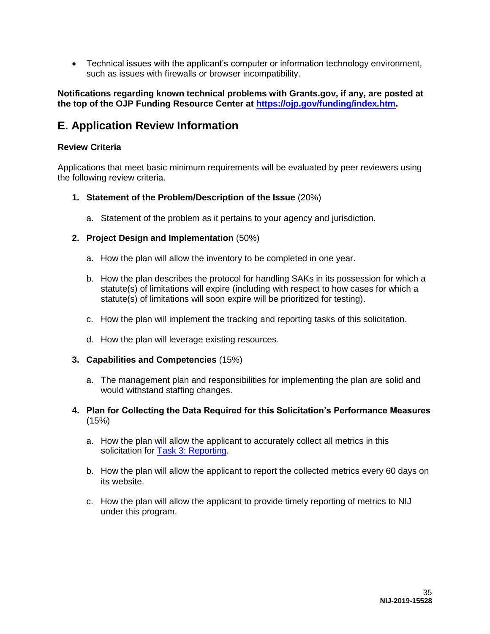Technical issues with the applicant's computer or information technology environment, such as issues with firewalls or browser incompatibility.

**Notifications regarding known technical problems with Grants.gov, if any, are posted at the top of the OJP Funding Resource Center at [https://ojp.gov/funding/index.htm.](https://ojp.gov/funding/index.htm)**

# <span id="page-35-0"></span>**E. Application Review Information**

### <span id="page-35-1"></span>**Review Criteria**

Applications that meet basic minimum requirements will be evaluated by peer reviewers using the following review criteria.

- **1. Statement of the Problem/Description of the Issue** (20%)
	- a. Statement of the problem as it pertains to your agency and jurisdiction.
- **2. Project Design and Implementation** (50%)
	- a. How the plan will allow the inventory to be completed in one year.
	- b. How the plan describes the protocol for handling SAKs in its possession for which a statute(s) of limitations will expire (including with respect to how cases for which a statute(s) of limitations will soon expire will be prioritized for testing).
	- c. How the plan will implement the tracking and reporting tasks of this solicitation.
	- d. How the plan will leverage existing resources.
- **3. Capabilities and Competencies** (15%)
	- a. The management plan and responsibilities for implementing the plan are solid and would withstand staffing changes.
- **4. Plan for Collecting the Data Required for this Solicitation's Performance Measures** (15%)
	- a. How the plan will allow the applicant to accurately collect all metrics in this solicitation for [Task 3: Reporting.](#page-8-0)
	- b. How the plan will allow the applicant to report the collected metrics every 60 days on its website.
	- c. How the plan will allow the applicant to provide timely reporting of metrics to NIJ under this program.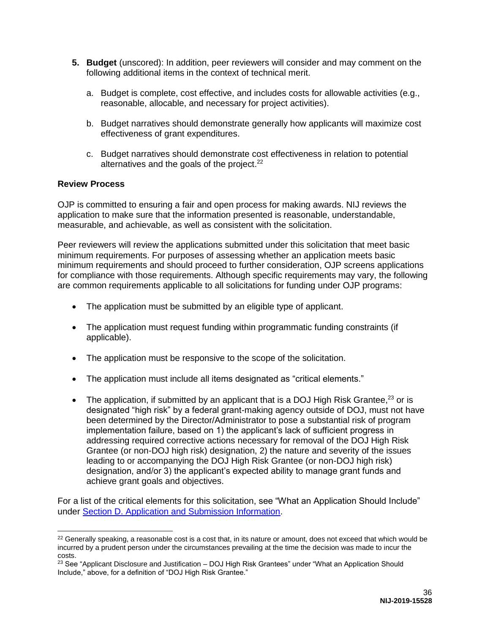- **5. Budget** (unscored): In addition, peer reviewers will consider and may comment on the following additional items in the context of technical merit.
	- a. Budget is complete, cost effective, and includes costs for allowable activities (e.g., reasonable, allocable, and necessary for project activities).
	- b. Budget narratives should demonstrate generally how applicants will maximize cost effectiveness of grant expenditures.
	- c. Budget narratives should demonstrate cost effectiveness in relation to potential alternatives and the goals of the project.<sup>22</sup>

### <span id="page-36-0"></span>**Review Process**

 $\overline{a}$ 

OJP is committed to ensuring a fair and open process for making awards. NIJ reviews the application to make sure that the information presented is reasonable, understandable, measurable, and achievable, as well as consistent with the solicitation.

Peer reviewers will review the applications submitted under this solicitation that meet basic minimum requirements. For purposes of assessing whether an application meets basic minimum requirements and should proceed to further consideration, OJP screens applications for compliance with those requirements. Although specific requirements may vary, the following are common requirements applicable to all solicitations for funding under OJP programs:

- The application must be submitted by an eligible type of applicant.
- The application must request funding within programmatic funding constraints (if applicable).
- The application must be responsive to the scope of the solicitation.
- The application must include all items designated as "critical elements."
- The application, if submitted by an applicant that is a DOJ High Risk Grantee,<sup>23</sup> or is designated "high risk" by a federal grant-making agency outside of DOJ, must not have been determined by the Director/Administrator to pose a substantial risk of program implementation failure, based on 1) the applicant's lack of sufficient progress in addressing required corrective actions necessary for removal of the DOJ High Risk Grantee (or non-DOJ high risk) designation, 2) the nature and severity of the issues leading to or accompanying the DOJ High Risk Grantee (or non-DOJ high risk) designation, and/or 3) the applicant's expected ability to manage grant funds and achieve grant goals and objectives.

For a list of the critical elements for this solicitation, see "What an Application Should Include" under [Section D. Application and Submission Information.](#page-18-0)

 $22$  Generally speaking, a reasonable cost is a cost that, in its nature or amount, does not exceed that which would be incurred by a prudent person under the circumstances prevailing at the time the decision was made to incur the costs.

<sup>&</sup>lt;sup>23</sup> See "Applicant Disclosure and Justification – DOJ High Risk Grantees" under "What an Application Should Include," above, for a definition of "DOJ High Risk Grantee."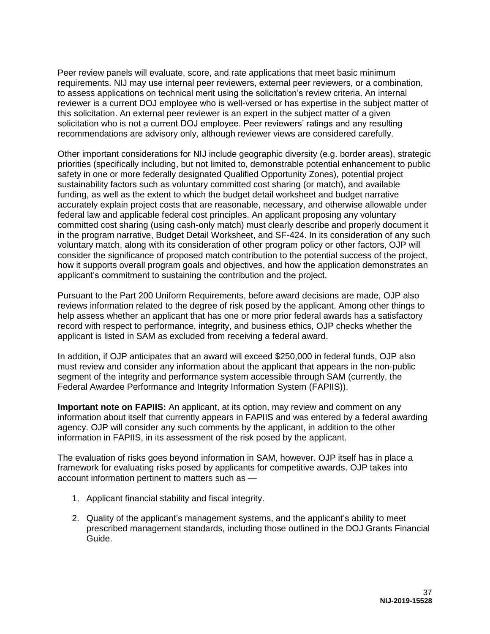Peer review panels will evaluate, score, and rate applications that meet basic minimum requirements. NIJ may use internal peer reviewers, external peer reviewers, or a combination, to assess applications on technical merit using the solicitation's review criteria. An internal reviewer is a current DOJ employee who is well-versed or has expertise in the subject matter of this solicitation. An external peer reviewer is an expert in the subject matter of a given solicitation who is not a current DOJ employee. Peer reviewers' ratings and any resulting recommendations are advisory only, although reviewer views are considered carefully.

Other important considerations for NIJ include geographic diversity (e.g. border areas), strategic priorities (specifically including, but not limited to, demonstrable potential enhancement to public safety in one or more federally designated Qualified Opportunity Zones), potential project sustainability factors such as voluntary committed cost sharing (or match), and available funding, as well as the extent to which the budget detail worksheet and budget narrative accurately explain project costs that are reasonable, necessary, and otherwise allowable under federal law and applicable federal cost principles. An applicant proposing any voluntary committed cost sharing (using cash-only match) must clearly describe and properly document it in the program narrative, Budget Detail Worksheet, and SF-424. In its consideration of any such voluntary match, along with its consideration of other program policy or other factors, OJP will consider the significance of proposed match contribution to the potential success of the project, how it supports overall program goals and objectives, and how the application demonstrates an applicant's commitment to sustaining the contribution and the project.

Pursuant to the Part 200 Uniform Requirements, before award decisions are made, OJP also reviews information related to the degree of risk posed by the applicant. Among other things to help assess whether an applicant that has one or more prior federal awards has a satisfactory record with respect to performance, integrity, and business ethics, OJP checks whether the applicant is listed in SAM as excluded from receiving a federal award.

In addition, if OJP anticipates that an award will exceed \$250,000 in federal funds, OJP also must review and consider any information about the applicant that appears in the non-public segment of the integrity and performance system accessible through SAM (currently, the Federal Awardee Performance and Integrity Information System (FAPIIS)).

**Important note on FAPIIS:** An applicant, at its option, may review and comment on any information about itself that currently appears in FAPIIS and was entered by a federal awarding agency. OJP will consider any such comments by the applicant, in addition to the other information in FAPIIS, in its assessment of the risk posed by the applicant.

The evaluation of risks goes beyond information in SAM, however. OJP itself has in place a framework for evaluating risks posed by applicants for competitive awards. OJP takes into account information pertinent to matters such as —

- 1. Applicant financial stability and fiscal integrity.
- 2. Quality of the applicant's management systems, and the applicant's ability to meet prescribed management standards, including those outlined in the DOJ Grants Financial Guide.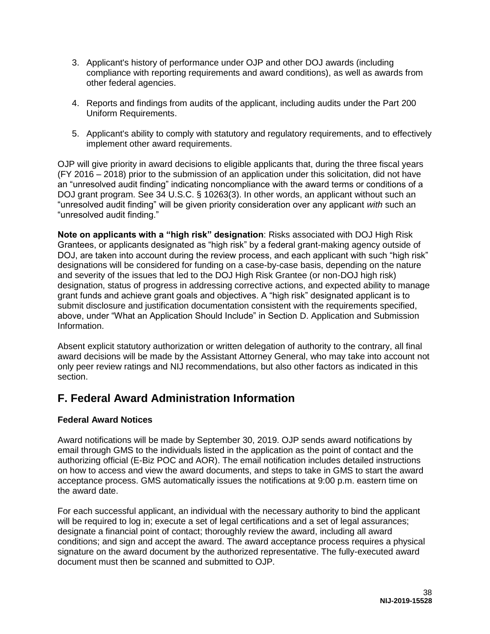- 3. Applicant's history of performance under OJP and other DOJ awards (including compliance with reporting requirements and award conditions), as well as awards from other federal agencies.
- 4. Reports and findings from audits of the applicant, including audits under the Part 200 Uniform Requirements.
- 5. Applicant's ability to comply with statutory and regulatory requirements, and to effectively implement other award requirements.

OJP will give priority in award decisions to eligible applicants that, during the three fiscal years (FY 2016 – 2018) prior to the submission of an application under this solicitation, did not have an "unresolved audit finding" indicating noncompliance with the award terms or conditions of a DOJ grant program. See 34 U.S.C. § 10263(3). In other words, an applicant without such an "unresolved audit finding" will be given priority consideration over any applicant *with* such an "unresolved audit finding."

**Note on applicants with a "high risk" designation**: Risks associated with DOJ High Risk Grantees, or applicants designated as "high risk" by a federal grant-making agency outside of DOJ, are taken into account during the review process, and each applicant with such "high risk" designations will be considered for funding on a case-by-case basis, depending on the nature and severity of the issues that led to the DOJ High Risk Grantee (or non-DOJ high risk) designation, status of progress in addressing corrective actions, and expected ability to manage grant funds and achieve grant goals and objectives. A "high risk" designated applicant is to submit disclosure and justification documentation consistent with the requirements specified, above, under "What an Application Should Include" in Section D. Application and Submission Information.

Absent explicit statutory authorization or written delegation of authority to the contrary, all final award decisions will be made by the Assistant Attorney General, who may take into account not only peer review ratings and NIJ recommendations, but also other factors as indicated in this section.

# <span id="page-38-0"></span>**F. Federal Award Administration Information**

# <span id="page-38-1"></span>**Federal Award Notices**

Award notifications will be made by September 30, 2019. OJP sends award notifications by email through GMS to the individuals listed in the application as the point of contact and the authorizing official (E-Biz POC and AOR). The email notification includes detailed instructions on how to access and view the award documents, and steps to take in GMS to start the award acceptance process. GMS automatically issues the notifications at 9:00 p.m. eastern time on the award date.

For each successful applicant, an individual with the necessary authority to bind the applicant will be required to log in; execute a set of legal certifications and a set of legal assurances; designate a financial point of contact; thoroughly review the award, including all award conditions; and sign and accept the award. The award acceptance process requires a physical signature on the award document by the authorized representative. The fully-executed award document must then be scanned and submitted to OJP.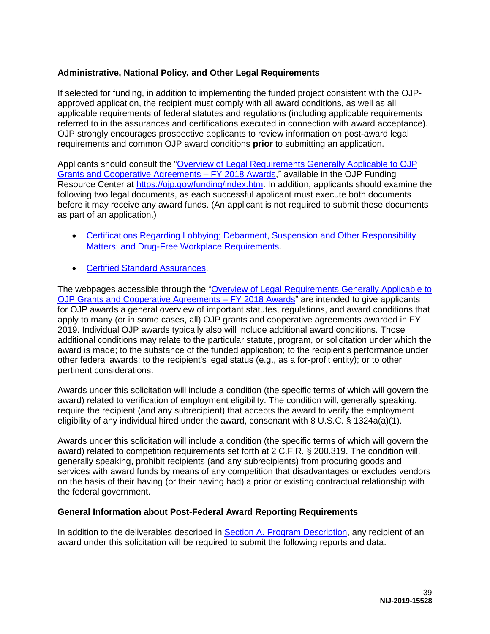# <span id="page-39-0"></span>**Administrative, National Policy, and Other Legal Requirements**

If selected for funding, in addition to implementing the funded project consistent with the OJPapproved application, the recipient must comply with all award conditions, as well as all applicable requirements of federal statutes and regulations (including applicable requirements referred to in the assurances and certifications executed in connection with award acceptance). OJP strongly encourages prospective applicants to review information on post-award legal requirements and common OJP award conditions **prior** to submitting an application.

Applicants should consult the ["Overview of Legal Requirements Generally Applicable to OJP](https://ojp.gov/funding/Explore/LegalOverview/index.htm)  [Grants and Cooperative Agreements – FY 2018 Awards,](https://ojp.gov/funding/Explore/LegalOverview/index.htm)" available in the OJP Funding Resource Center at [https://ojp.gov/funding/index.htm.](https://ojp.gov/funding/index.htm) In addition, applicants should examine the following two legal documents, as each successful applicant must execute both documents before it may receive any award funds. (An applicant is not required to submit these documents as part of an application.)

- [Certifications Regarding Lobbying; Debarment, Suspension and Other Responsibility](https://ojp.gov/funding/Apply/Resources/Certifications.pdf)  [Matters; and Drug-Free Workplace Requirements.](https://ojp.gov/funding/Apply/Resources/Certifications.pdf)
- **[Certified Standard Assurances.](https://ojp.gov/funding/Apply/Resources/StandardAssurances.pdf)**

The webpages accessible through the "Overview of Legal Requirements Generally Applicable to OJP Grants and Cooperative Agreements - FY 2018 Awards" are intended to give applicants for OJP awards a general overview of important statutes, regulations, and award conditions that apply to many (or in some cases, all) OJP grants and cooperative agreements awarded in FY 2019. Individual OJP awards typically also will include additional award conditions. Those additional conditions may relate to the particular statute, program, or solicitation under which the award is made; to the substance of the funded application; to the recipient's performance under other federal awards; to the recipient's legal status (e.g., as a for-profit entity); or to other pertinent considerations.

Awards under this solicitation will include a condition (the specific terms of which will govern the award) related to verification of employment eligibility. The condition will, generally speaking, require the recipient (and any subrecipient) that accepts the award to verify the employment eligibility of any individual hired under the award, consonant with 8 U.S.C.  $\S$  1324a(a)(1).

Awards under this solicitation will include a condition (the specific terms of which will govern the award) related to competition requirements set forth at 2 C.F.R. § 200.319. The condition will, generally speaking, prohibit recipients (and any subrecipients) from procuring goods and services with award funds by means of any competition that disadvantages or excludes vendors on the basis of their having (or their having had) a prior or existing contractual relationship with the federal government.

### <span id="page-39-1"></span>**General Information about Post-Federal Award Reporting Requirements**

In addition to the deliverables described in [Section A. Program Description,](#page-4-0) any recipient of an award under this solicitation will be required to submit the following reports and data.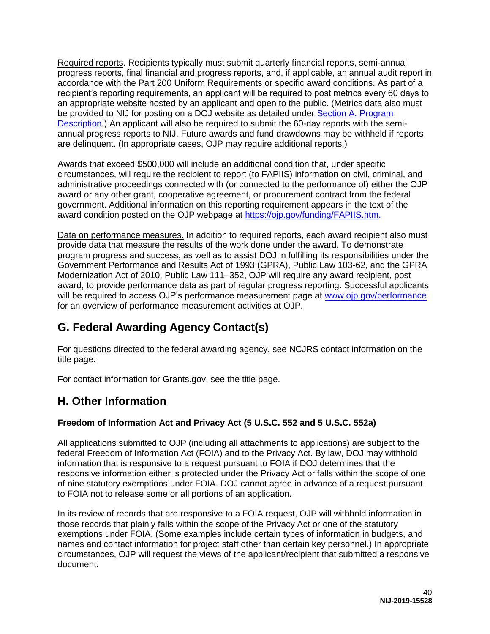Required reports. Recipients typically must submit quarterly financial reports, semi-annual progress reports, final financial and progress reports, and, if applicable, an annual audit report in accordance with the Part 200 Uniform Requirements or specific award conditions. As part of a recipient's reporting requirements, an applicant will be required to post metrics every 60 days to an appropriate website hosted by an applicant and open to the public. (Metrics data also must be provided to NIJ for posting on a DOJ website as detailed under [Section A. Program](#page-4-0)  [Description.](#page-4-0)) An applicant will also be required to submit the 60-day reports with the semiannual progress reports to NIJ. Future awards and fund drawdowns may be withheld if reports are delinquent. (In appropriate cases, OJP may require additional reports.)

Awards that exceed \$500,000 will include an additional condition that, under specific circumstances, will require the recipient to report (to FAPIIS) information on civil, criminal, and administrative proceedings connected with (or connected to the performance of) either the OJP award or any other grant, cooperative agreement, or procurement contract from the federal government. Additional information on this reporting requirement appears in the text of the award condition posted on the OJP webpage at [https://ojp.gov/funding/FAPIIS.htm.](https://ojp.gov/funding/FAPIIS.htm)

Data on performance measures. In addition to required reports, each award recipient also must provide data that measure the results of the work done under the award. To demonstrate program progress and success, as well as to assist DOJ in fulfilling its responsibilities under the Government Performance and Results Act of 1993 (GPRA), Public Law 103-62, and the GPRA Modernization Act of 2010, Public Law 111–352, OJP will require any award recipient, post award, to provide performance data as part of regular progress reporting. Successful applicants will be required to access OJP's performance measurement page at [www.ojp.gov/performance](https://ojpnet.ojp.usdoj.gov/sites/it/Solicitations/NIJ/b1375b90-90b2-4bd9-886a-0c4b4dbb7309/Solicitation/www.ojp.gov/performance) for an overview of performance measurement activities at OJP.

# <span id="page-40-0"></span>**G. Federal Awarding Agency Contact(s)**

For questions directed to the federal awarding agency, see NCJRS contact information on the title page.

For contact information for Grants.gov, see the title page.

# <span id="page-40-1"></span>**H. Other Information**

# <span id="page-40-2"></span>**Freedom of Information Act and Privacy Act (5 U.S.C. 552 and 5 U.S.C. 552a)**

All applications submitted to OJP (including all attachments to applications) are subject to the federal Freedom of Information Act (FOIA) and to the Privacy Act. By law, DOJ may withhold information that is responsive to a request pursuant to FOIA if DOJ determines that the responsive information either is protected under the Privacy Act or falls within the scope of one of nine statutory exemptions under FOIA. DOJ cannot agree in advance of a request pursuant to FOIA not to release some or all portions of an application.

In its review of records that are responsive to a FOIA request, OJP will withhold information in those records that plainly falls within the scope of the Privacy Act or one of the statutory exemptions under FOIA. (Some examples include certain types of information in budgets, and names and contact information for project staff other than certain key personnel.) In appropriate circumstances, OJP will request the views of the applicant/recipient that submitted a responsive document.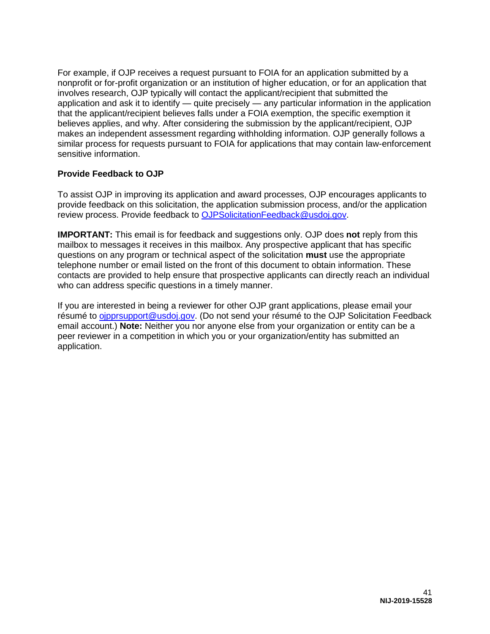For example, if OJP receives a request pursuant to FOIA for an application submitted by a nonprofit or for-profit organization or an institution of higher education, or for an application that involves research, OJP typically will contact the applicant/recipient that submitted the application and ask it to identify — quite precisely — any particular information in the application that the applicant/recipient believes falls under a FOIA exemption, the specific exemption it believes applies, and why. After considering the submission by the applicant/recipient, OJP makes an independent assessment regarding withholding information. OJP generally follows a similar process for requests pursuant to FOIA for applications that may contain law-enforcement sensitive information.

# <span id="page-41-0"></span>**Provide Feedback to OJP**

To assist OJP in improving its application and award processes, OJP encourages applicants to provide feedback on this solicitation, the application submission process, and/or the application review process. Provide feedback to [OJPSolicitationFeedback@usdoj.gov.](mailto:OJPSolicitationFeedback@usdoj.gov)

**IMPORTANT:** This email is for feedback and suggestions only. OJP does **not** reply from this mailbox to messages it receives in this mailbox. Any prospective applicant that has specific questions on any program or technical aspect of the solicitation **must** use the appropriate telephone number or email listed on the front of this document to obtain information. These contacts are provided to help ensure that prospective applicants can directly reach an individual who can address specific questions in a timely manner.

If you are interested in being a reviewer for other OJP grant applications, please email your résumé to [ojpprsupport@usdoj.gov.](mailto:ojpprsupport@usdoj.gov) (Do not send your résumé to the OJP Solicitation Feedback email account.) **Note:** Neither you nor anyone else from your organization or entity can be a peer reviewer in a competition in which you or your organization/entity has submitted an application.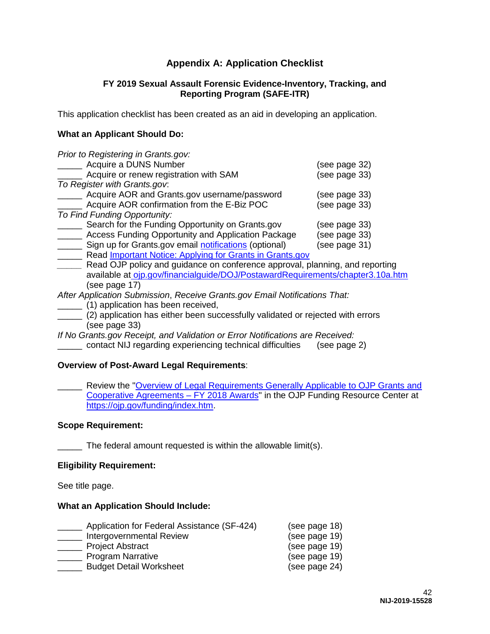# **Appendix A: Application Checklist**

### **FY 2019 Sexual Assault Forensic Evidence-Inventory, Tracking, and Reporting Program (SAFE-ITR)**

<span id="page-42-0"></span>This application checklist has been created as an aid in developing an application.

# **What an Applicant Should Do:**

| Prior to Registering in Grants.gov:                                            |               |
|--------------------------------------------------------------------------------|---------------|
| Acquire a DUNS Number                                                          | (see page 32) |
| Acquire or renew registration with SAM                                         | (see page 33) |
| To Register with Grants.gov.                                                   |               |
| Acquire AOR and Grants.gov username/password                                   | (see page 33) |
| Acquire AOR confirmation from the E-Biz POC                                    | (see page 33) |
| To Find Funding Opportunity:                                                   |               |
| Search for the Funding Opportunity on Grants.gov                               | (see page 33) |
| Access Funding Opportunity and Application Package                             | (see page 33) |
| Sign up for Grants.gov email notifications (optional)                          | (see page 31) |
| Read <b>Important Notice: Applying for Grants in Grants.gov</b>                |               |
| Read OJP policy and guidance on conference approval, planning, and reporting   |               |
| available at ojp.gov/financialguide/DOJ/PostawardRequirements/chapter3.10a.htm |               |

(see page 17)

*After Application Submission*, *Receive Grants.gov Email Notifications That:*

- **\_\_\_\_\_\_** (1) application has been received,
- \_\_\_\_\_ (2) application has either been successfully validated or rejected with errors (see page 33)

*If No Grants.gov Receipt, and Validation or Error Notifications are Received:* 

\_\_\_\_\_ contact NIJ regarding experiencing technical difficulties (see page 2)

### **Overview of Post-Award Legal Requirements**:

Review the "Overview of Legal Requirements Generally Applicable to OJP Grants and [Cooperative Agreements – FY 2018 Awards"](https://ojp.gov/funding/Explore/LegalOverview/index.htm) in the OJP Funding Resource Center at [https://ojp.gov/funding/index.htm.](https://ojp.gov/funding/index.htm)

### **Scope Requirement:**

The federal amount requested is within the allowable limit(s).

### **Eligibility Requirement:**

See title page.

### **What an Application Should Include:**

| Application for Federal Assistance (SF-424) | (see page 18) |
|---------------------------------------------|---------------|
| <b>Intergovernmental Review</b>             | (see page 19) |
| <b>Project Abstract</b>                     | (see page 19) |
| <b>Program Narrative</b>                    | (see page 19) |
| <b>Budget Detail Worksheet</b>              | (see page 24) |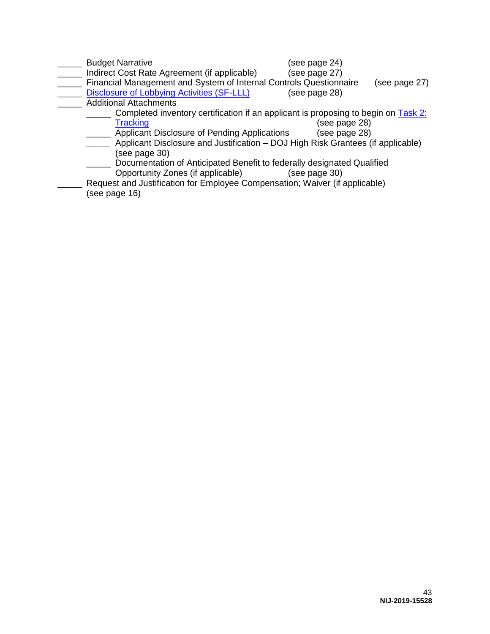| <b>Budget Narrative</b>                                                            | (see page 24) |               |
|------------------------------------------------------------------------------------|---------------|---------------|
| Indirect Cost Rate Agreement (if applicable)                                       | (see page 27) |               |
| Financial Management and System of Internal Controls Questionnaire                 |               | (see page 27) |
| <b>Disclosure of Lobbying Activities (SF-LLL)</b>                                  | (see page 28) |               |
| <b>Additional Attachments</b>                                                      |               |               |
| Completed inventory certification if an applicant is proposing to begin on Task 2: |               |               |
| <b>Tracking</b>                                                                    | (see page 28) |               |
| Applicant Disclosure of Pending Applications                                       | (see page 28) |               |
| Applicant Disclosure and Justification – DOJ High Risk Grantees (if applicable)    |               |               |
| (see page 30)                                                                      |               |               |
| Documentation of Anticipated Benefit to federally designated Qualified             |               |               |
| Opportunity Zones (if applicable)                                                  | (see page 30) |               |
| Request and Justification for Employee Compensation; Waiver (if applicable)        |               |               |
| (see page 16)                                                                      |               |               |
|                                                                                    |               |               |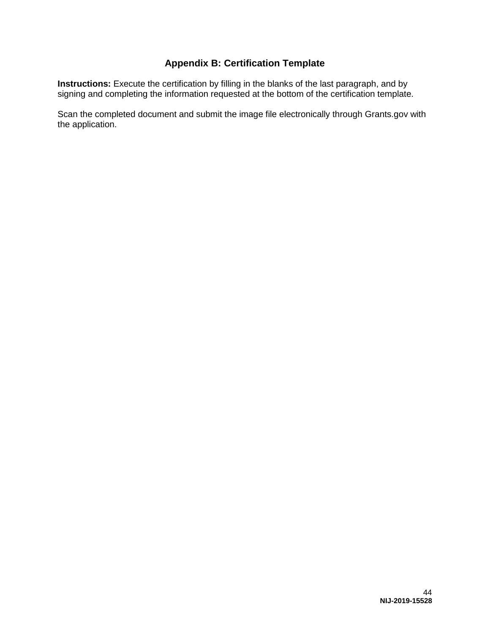# **Appendix B: Certification Template**

<span id="page-44-0"></span>**Instructions:** Execute the certification by filling in the blanks of the last paragraph, and by signing and completing the information requested at the bottom of the certification template.

Scan the completed document and submit the image file electronically through Grants.gov with the application.